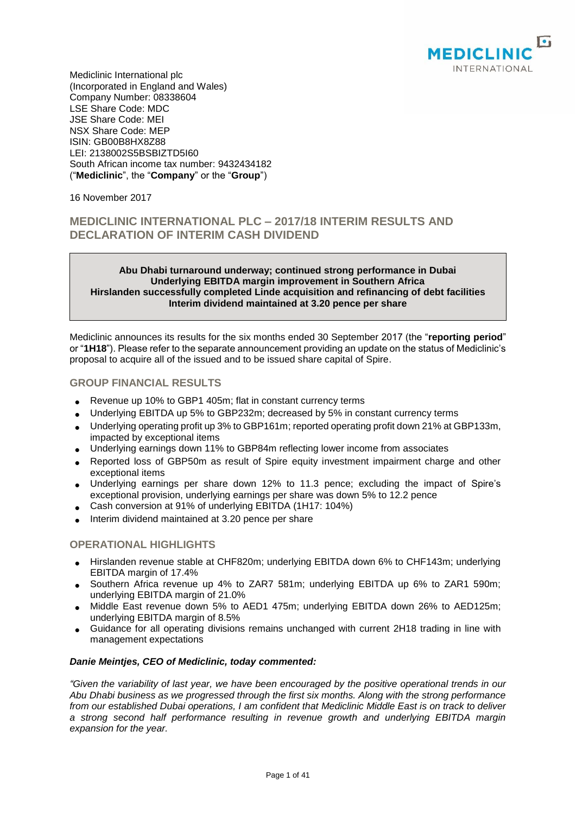

Mediclinic International plc (Incorporated in England and Wales) Company Number: 08338604 LSE Share Code: MDC JSE Share Code: MEI NSX Share Code: MEP ISIN: GB00B8HX8Z88 LEI: 2138002S5BSBIZTD5I60 South African income tax number: 9432434182 ("**Mediclinic**", the "**Company**" or the "**Group**")

16 November 2017

# **MEDICLINIC INTERNATIONAL PLC – 2017/18 INTERIM RESULTS AND DECLARATION OF INTERIM CASH DIVIDEND**

### **Abu Dhabi turnaround underway; continued strong performance in Dubai Underlying EBITDA margin improvement in Southern Africa Hirslanden successfully completed Linde acquisition and refinancing of debt facilities Interim dividend maintained at 3.20 pence per share**

Mediclinic announces its results for the six months ended 30 September 2017 (the "**reporting period**" or "**1H18**"). Please refer to the separate announcement providing an update on the status of Mediclinic's proposal to acquire all of the issued and to be issued share capital of Spire.

### **GROUP FINANCIAL RESULTS**

- Revenue up 10% to GBP1 405m; flat in constant currency terms
- Underlying EBITDA up 5% to GBP232m; decreased by 5% in constant currency terms
- Underlying operating profit up 3% to GBP161m; reported operating profit down 21% at GBP133m, impacted by exceptional items
- Underlying earnings down 11% to GBP84m reflecting lower income from associates
- Reported loss of GBP50m as result of Spire equity investment impairment charge and other exceptional items
- Underlying earnings per share down 12% to 11.3 pence; excluding the impact of Spire's exceptional provision, underlying earnings per share was down 5% to 12.2 pence
- Cash conversion at 91% of underlying EBITDA (1H17: 104%)
- Interim dividend maintained at 3.20 pence per share

# **OPERATIONAL HIGHLIGHTS**

- Hirslanden revenue stable at CHF820m; underlying EBITDA down 6% to CHF143m; underlying EBITDA margin of 17.4%
- Southern Africa revenue up 4% to ZAR7 581m; underlying EBITDA up 6% to ZAR1 590m; underlying EBITDA margin of 21.0%
- Middle East revenue down 5% to AED1 475m; underlying EBITDA down 26% to AED125m; underlying EBITDA margin of 8.5%
- Guidance for all operating divisions remains unchanged with current 2H18 trading in line with management expectations

#### *Danie Meintjes, CEO of Mediclinic, today commented:*

*"Given the variability of last year, we have been encouraged by the positive operational trends in our Abu Dhabi business as we progressed through the first six months. Along with the strong performance from our established Dubai operations, I am confident that Mediclinic Middle East is on track to deliver a strong second half performance resulting in revenue growth and underlying EBITDA margin expansion for the year.*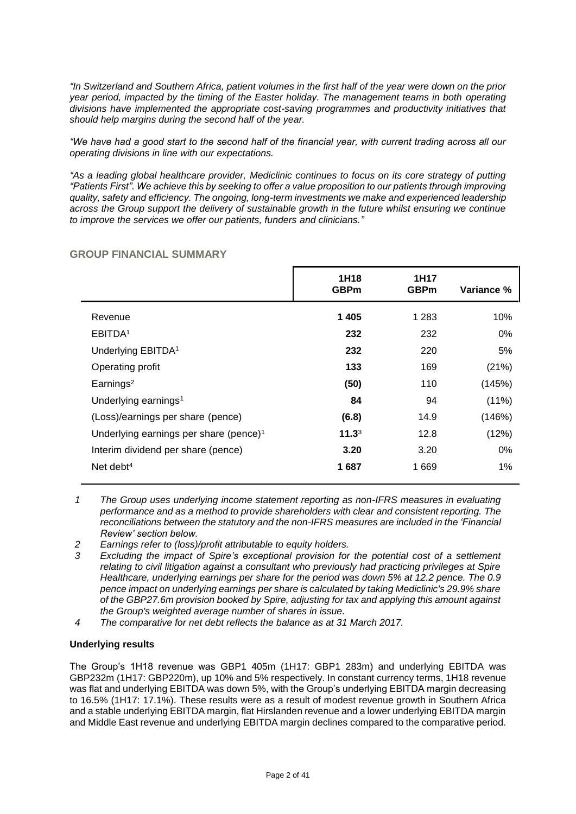*"In Switzerland and Southern Africa, patient volumes in the first half of the year were down on the prior year period, impacted by the timing of the Easter holiday. The management teams in both operating divisions have implemented the appropriate cost-saving programmes and productivity initiatives that should help margins during the second half of the year.*

*"We have had a good start to the second half of the financial year, with current trading across all our operating divisions in line with our expectations.*

*"As a leading global healthcare provider, Mediclinic continues to focus on its core strategy of putting "Patients First". We achieve this by seeking to offer a value proposition to our patients through improving quality, safety and efficiency. The ongoing, long-term investments we make and experienced leadership across the Group support the delivery of sustainable growth in the future whilst ensuring we continue to improve the services we offer our patients, funders and clinicians."* 

|                                                    | 1H18<br><b>GBPm</b> | 1H17<br><b>GBPm</b> | Variance % |
|----------------------------------------------------|---------------------|---------------------|------------|
| Revenue                                            | 1 4 0 5             | 1 283               | 10%        |
| EBITDA <sup>1</sup>                                | 232                 | 232                 | 0%         |
| Underlying EBITDA <sup>1</sup>                     | 232                 | 220                 | 5%         |
| Operating profit                                   | 133                 | 169                 | (21%)      |
| Earnings <sup>2</sup>                              | (50)                | 110                 | (145%)     |
| Underlying earnings <sup>1</sup>                   | 84                  | 94                  | $(11\%)$   |
| (Loss)/earnings per share (pence)                  | (6.8)               | 14.9                | (146%)     |
| Underlying earnings per share (pence) <sup>1</sup> | 11.3 <sup>3</sup>   | 12.8                | (12%)      |
| Interim dividend per share (pence)                 | 3.20                | 3.20                | 0%         |
| Net debt <sup>4</sup>                              | 1687                | 1669                | $1\%$      |

# **GROUP FINANCIAL SUMMARY**

- *1 The Group uses underlying income statement reporting as non-IFRS measures in evaluating performance and as a method to provide shareholders with clear and consistent reporting. The reconciliations between the statutory and the non-IFRS measures are included in the 'Financial Review' section below.*
- *2 Earnings refer to (loss)/profit attributable to equity holders.*
- *3 Excluding the impact of Spire's exceptional provision for the potential cost of a settlement relating to civil litigation against a consultant who previously had practicing privileges at Spire Healthcare, underlying earnings per share for the period was down 5% at 12.2 pence. The 0.9 pence impact on underlying earnings per share is calculated by taking Mediclinic's 29.9% share of the GBP27.6m provision booked by Spire, adjusting for tax and applying this amount against the Group's weighted average number of shares in issue.*
- *4 The comparative for net debt reflects the balance as at 31 March 2017.*

# **Underlying results**

The Group's 1H18 revenue was GBP1 405m (1H17: GBP1 283m) and underlying EBITDA was GBP232m (1H17: GBP220m), up 10% and 5% respectively. In constant currency terms, 1H18 revenue was flat and underlying EBITDA was down 5%, with the Group's underlying EBITDA margin decreasing to 16.5% (1H17: 17.1%). These results were as a result of modest revenue growth in Southern Africa and a stable underlying EBITDA margin, flat Hirslanden revenue and a lower underlying EBITDA margin and Middle East revenue and underlying EBITDA margin declines compared to the comparative period.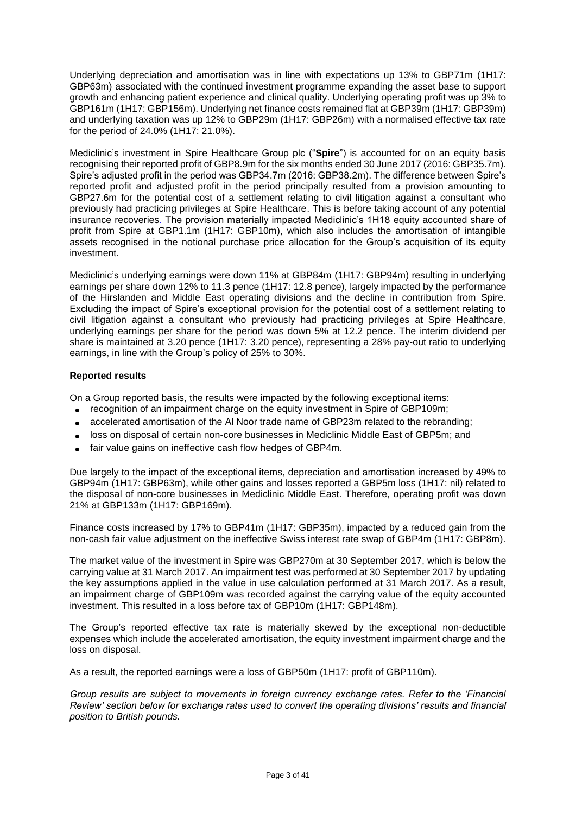Underlying depreciation and amortisation was in line with expectations up 13% to GBP71m (1H17: GBP63m) associated with the continued investment programme expanding the asset base to support growth and enhancing patient experience and clinical quality. Underlying operating profit was up 3% to GBP161m (1H17: GBP156m). Underlying net finance costs remained flat at GBP39m (1H17: GBP39m) and underlying taxation was up 12% to GBP29m (1H17: GBP26m) with a normalised effective tax rate for the period of 24.0% (1H17: 21.0%).

Mediclinic's investment in Spire Healthcare Group plc ("**Spire**") is accounted for on an equity basis recognising their reported profit of GBP8.9m for the six months ended 30 June 2017 (2016: GBP35.7m). Spire's adjusted profit in the period was GBP34.7m (2016: GBP38.2m). The difference between Spire's reported profit and adjusted profit in the period principally resulted from a provision amounting to GBP27.6m for the potential cost of a settlement relating to civil litigation against a consultant who previously had practicing privileges at Spire Healthcare. This is before taking account of any potential insurance recoveries. The provision materially impacted Mediclinic's 1H18 equity accounted share of profit from Spire at GBP1.1m (1H17: GBP10m), which also includes the amortisation of intangible assets recognised in the notional purchase price allocation for the Group's acquisition of its equity investment.

Mediclinic's underlying earnings were down 11% at GBP84m (1H17: GBP94m) resulting in underlying earnings per share down 12% to 11.3 pence (1H17: 12.8 pence), largely impacted by the performance of the Hirslanden and Middle East operating divisions and the decline in contribution from Spire. Excluding the impact of Spire's exceptional provision for the potential cost of a settlement relating to civil litigation against a consultant who previously had practicing privileges at Spire Healthcare, underlying earnings per share for the period was down 5% at 12.2 pence. The interim dividend per share is maintained at 3.20 pence (1H17: 3.20 pence), representing a 28% pay-out ratio to underlying earnings, in line with the Group's policy of 25% to 30%.

# **Reported results**

On a Group reported basis, the results were impacted by the following exceptional items:

- recognition of an impairment charge on the equity investment in Spire of GBP109m;
- accelerated amortisation of the Al Noor trade name of GBP23m related to the rebranding;
- loss on disposal of certain non-core businesses in Mediclinic Middle East of GBP5m; and
- fair value gains on ineffective cash flow hedges of GBP4m.

Due largely to the impact of the exceptional items, depreciation and amortisation increased by 49% to GBP94m (1H17: GBP63m), while other gains and losses reported a GBP5m loss (1H17: nil) related to the disposal of non-core businesses in Mediclinic Middle East. Therefore, operating profit was down 21% at GBP133m (1H17: GBP169m).

Finance costs increased by 17% to GBP41m (1H17: GBP35m), impacted by a reduced gain from the non-cash fair value adjustment on the ineffective Swiss interest rate swap of GBP4m (1H17: GBP8m).

The market value of the investment in Spire was GBP270m at 30 September 2017, which is below the carrying value at 31 March 2017. An impairment test was performed at 30 September 2017 by updating the key assumptions applied in the value in use calculation performed at 31 March 2017. As a result, an impairment charge of GBP109m was recorded against the carrying value of the equity accounted investment. This resulted in a loss before tax of GBP10m (1H17: GBP148m).

The Group's reported effective tax rate is materially skewed by the exceptional non-deductible expenses which include the accelerated amortisation, the equity investment impairment charge and the loss on disposal.

As a result, the reported earnings were a loss of GBP50m (1H17: profit of GBP110m).

*Group results are subject to movements in foreign currency exchange rates. Refer to the 'Financial Review' section below for exchange rates used to convert the operating divisions' results and financial position to British pounds.*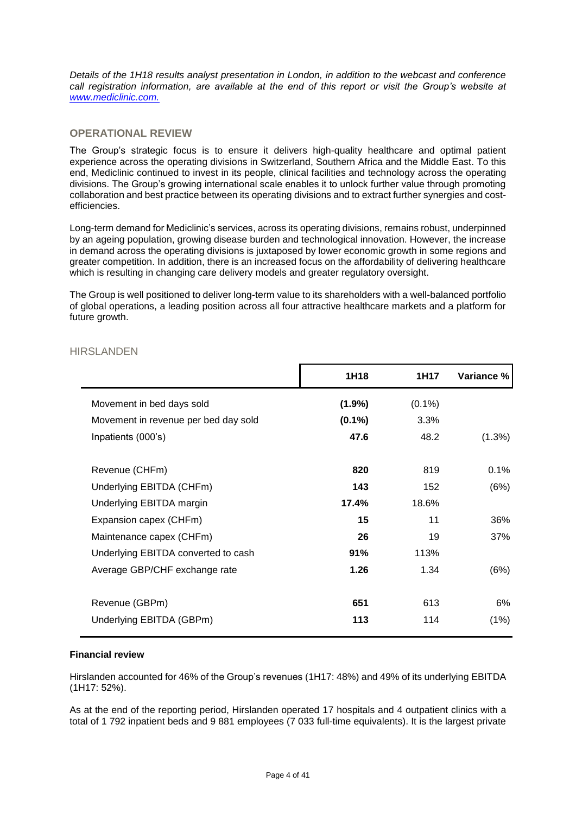*Details of the 1H18 results analyst presentation in London, in addition to the webcast and conference call registration information, are available at the end of this report or visit the Group's website at [www.mediclinic.com.](http://www.mediclinic.com/)*

## **OPERATIONAL REVIEW**

The Group's strategic focus is to ensure it delivers high-quality healthcare and optimal patient experience across the operating divisions in Switzerland, Southern Africa and the Middle East. To this end, Mediclinic continued to invest in its people, clinical facilities and technology across the operating divisions. The Group's growing international scale enables it to unlock further value through promoting collaboration and best practice between its operating divisions and to extract further synergies and costefficiencies.

Long-term demand for Mediclinic's services, across its operating divisions, remains robust, underpinned by an ageing population, growing disease burden and technological innovation. However, the increase in demand across the operating divisions is juxtaposed by lower economic growth in some regions and greater competition. In addition, there is an increased focus on the affordability of delivering healthcare which is resulting in changing care delivery models and greater regulatory oversight.

The Group is well positioned to deliver long-term value to its shareholders with a well-balanced portfolio of global operations, a leading position across all four attractive healthcare markets and a platform for future growth.

#### **HIRSLANDEN**

|                                      | 1H18      | 1H17      | Variance % |
|--------------------------------------|-----------|-----------|------------|
| Movement in bed days sold            | $(1.9\%)$ | $(0.1\%)$ |            |
| Movement in revenue per bed day sold | $(0.1\%)$ | 3.3%      |            |
| Inpatients (000's)                   | 47.6      | 48.2      | (1.3%)     |
| Revenue (CHFm)                       | 820       | 819       | 0.1%       |
| Underlying EBITDA (CHFm)             | 143       | 152       | (6%)       |
| Underlying EBITDA margin             | 17.4%     | 18.6%     |            |
| Expansion capex (CHFm)               | 15        | 11        | 36%        |
| Maintenance capex (CHFm)             | 26        | 19        | 37%        |
| Underlying EBITDA converted to cash  | 91%       | 113%      |            |
| Average GBP/CHF exchange rate        | 1.26      | 1.34      | (6%)       |
| Revenue (GBPm)                       | 651       | 613       | 6%         |
| Underlying EBITDA (GBPm)             | 113       | 114       | (1%)       |

### **Financial review**

Hirslanden accounted for 46% of the Group's revenues (1H17: 48%) and 49% of its underlying EBITDA (1H17: 52%).

As at the end of the reporting period, Hirslanden operated 17 hospitals and 4 outpatient clinics with a total of 1 792 inpatient beds and 9 881 employees (7 033 full-time equivalents). It is the largest private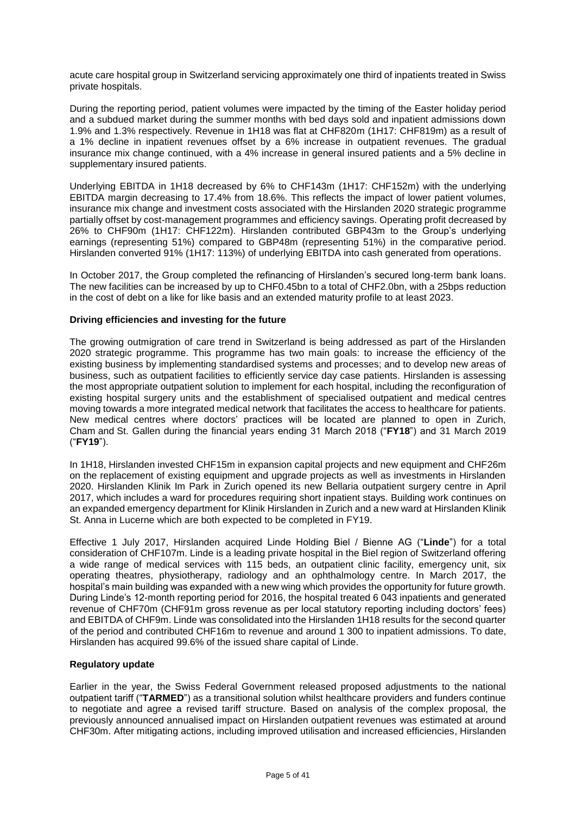acute care hospital group in Switzerland servicing approximately one third of inpatients treated in Swiss private hospitals.

During the reporting period, patient volumes were impacted by the timing of the Easter holiday period and a subdued market during the summer months with bed days sold and inpatient admissions down 1.9% and 1.3% respectively. Revenue in 1H18 was flat at CHF820m (1H17: CHF819m) as a result of a 1% decline in inpatient revenues offset by a 6% increase in outpatient revenues. The gradual insurance mix change continued, with a 4% increase in general insured patients and a 5% decline in supplementary insured patients.

Underlying EBITDA in 1H18 decreased by 6% to CHF143m (1H17: CHF152m) with the underlying EBITDA margin decreasing to 17.4% from 18.6%. This reflects the impact of lower patient volumes, insurance mix change and investment costs associated with the Hirslanden 2020 strategic programme partially offset by cost-management programmes and efficiency savings. Operating profit decreased by 26% to CHF90m (1H17: CHF122m). Hirslanden contributed GBP43m to the Group's underlying earnings (representing 51%) compared to GBP48m (representing 51%) in the comparative period. Hirslanden converted 91% (1H17: 113%) of underlying EBITDA into cash generated from operations.

In October 2017, the Group completed the refinancing of Hirslanden's secured long-term bank loans. The new facilities can be increased by up to CHF0.45bn to a total of CHF2.0bn, with a 25bps reduction in the cost of debt on a like for like basis and an extended maturity profile to at least 2023.

### **Driving efficiencies and investing for the future**

The growing outmigration of care trend in Switzerland is being addressed as part of the Hirslanden 2020 strategic programme. This programme has two main goals: to increase the efficiency of the existing business by implementing standardised systems and processes; and to develop new areas of business, such as outpatient facilities to efficiently service day case patients. Hirslanden is assessing the most appropriate outpatient solution to implement for each hospital, including the reconfiguration of existing hospital surgery units and the establishment of specialised outpatient and medical centres moving towards a more integrated medical network that facilitates the access to healthcare for patients. New medical centres where doctors' practices will be located are planned to open in Zurich, Cham and St. Gallen during the financial years ending 31 March 2018 ("**FY18**") and 31 March 2019 ("**FY19**").

In 1H18, Hirslanden invested CHF15m in expansion capital projects and new equipment and CHF26m on the replacement of existing equipment and upgrade projects as well as investments in Hirslanden 2020. Hirslanden Klinik Im Park in Zurich opened its new Bellaria outpatient surgery centre in April 2017, which includes a ward for procedures requiring short inpatient stays. Building work continues on an expanded emergency department for Klinik Hirslanden in Zurich and a new ward at Hirslanden Klinik St. Anna in Lucerne which are both expected to be completed in FY19.

Effective 1 July 2017, Hirslanden acquired Linde Holding Biel / Bienne AG ("**Linde**") for a total consideration of CHF107m. Linde is a leading private hospital in the Biel region of Switzerland offering a wide range of medical services with 115 beds, an outpatient clinic facility, emergency unit, six operating theatres, physiotherapy, radiology and an ophthalmology centre. In March 2017, the hospital's main building was expanded with a new wing which provides the opportunity for future growth. During Linde's 12-month reporting period for 2016, the hospital treated 6 043 inpatients and generated revenue of CHF70m (CHF91m gross revenue as per local statutory reporting including doctors' fees) and EBITDA of CHF9m. Linde was consolidated into the Hirslanden 1H18 results for the second quarter of the period and contributed CHF16m to revenue and around 1 300 to inpatient admissions. To date, Hirslanden has acquired 99.6% of the issued share capital of Linde.

#### **Regulatory update**

Earlier in the year, the Swiss Federal Government released proposed adjustments to the national outpatient tariff ("**TARMED**") as a transitional solution whilst healthcare providers and funders continue to negotiate and agree a revised tariff structure. Based on analysis of the complex proposal, the previously announced annualised impact on Hirslanden outpatient revenues was estimated at around CHF30m. After mitigating actions, including improved utilisation and increased efficiencies, Hirslanden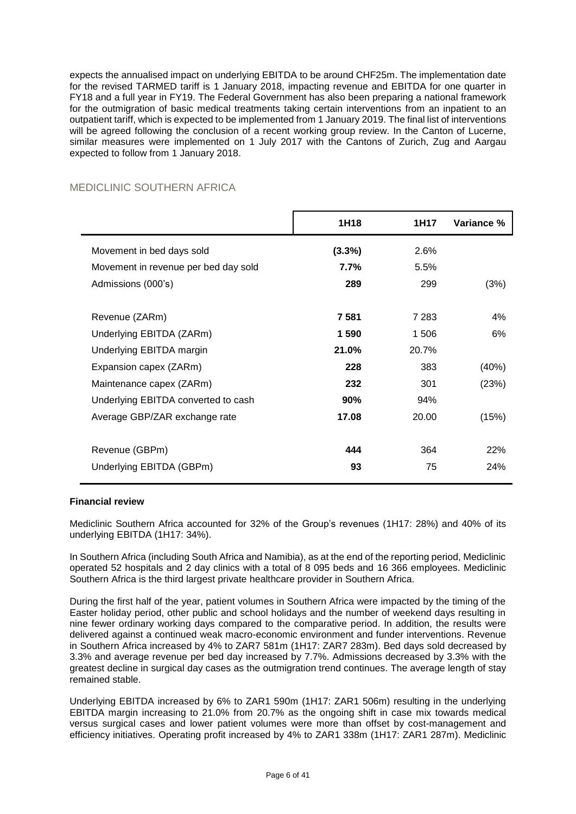expects the annualised impact on underlying EBITDA to be around CHF25m. The implementation date for the revised TARMED tariff is 1 January 2018, impacting revenue and EBITDA for one quarter in FY18 and a full year in FY19. The Federal Government has also been preparing a national framework for the outmigration of basic medical treatments taking certain interventions from an inpatient to an outpatient tariff, which is expected to be implemented from 1 January 2019. The final list of interventions will be agreed following the conclusion of a recent working group review. In the Canton of Lucerne, similar measures were implemented on 1 July 2017 with the Cantons of Zurich, Zug and Aargau expected to follow from 1 January 2018.

|                                      | 1H18      | 1H17    | Variance % |
|--------------------------------------|-----------|---------|------------|
| Movement in bed days sold            | $(3.3\%)$ | 2.6%    |            |
| Movement in revenue per bed day sold | $7.7\%$   | 5.5%    |            |
| Admissions (000's)                   | 289       | 299     | (3%)       |
|                                      |           |         |            |
| Revenue (ZARm)                       | 7581      | 7 2 8 3 | 4%         |
| Underlying EBITDA (ZARm)             | 1 590     | 1 506   | 6%         |
| Underlying EBITDA margin             | 21.0%     | 20.7%   |            |
| Expansion capex (ZARm)               | 228       | 383     | (40%)      |
| Maintenance capex (ZARm)             | 232       | 301     | (23%)      |
| Underlying EBITDA converted to cash  | 90%       | 94%     |            |
| Average GBP/ZAR exchange rate        | 17.08     | 20.00   | (15%)      |
| Revenue (GBPm)                       | 444       | 364     | 22%        |
|                                      |           |         |            |
| Underlying EBITDA (GBPm)             | 93        | 75      | 24%        |

# MEDICLINIC SOUTHERN AFRICA

#### **Financial review**

Mediclinic Southern Africa accounted for 32% of the Group's revenues (1H17: 28%) and 40% of its underlying EBITDA (1H17: 34%).

In Southern Africa (including South Africa and Namibia), as at the end of the reporting period, Mediclinic operated 52 hospitals and 2 day clinics with a total of 8 095 beds and 16 366 employees. Mediclinic Southern Africa is the third largest private healthcare provider in Southern Africa.

During the first half of the year, patient volumes in Southern Africa were impacted by the timing of the Easter holiday period, other public and school holidays and the number of weekend days resulting in nine fewer ordinary working days compared to the comparative period. In addition, the results were delivered against a continued weak macro-economic environment and funder interventions. Revenue in Southern Africa increased by 4% to ZAR7 581m (1H17: ZAR7 283m). Bed days sold decreased by 3.3% and average revenue per bed day increased by 7.7%. Admissions decreased by 3.3% with the greatest decline in surgical day cases as the outmigration trend continues. The average length of stay remained stable.

Underlying EBITDA increased by 6% to ZAR1 590m (1H17: ZAR1 506m) resulting in the underlying EBITDA margin increasing to 21.0% from 20.7% as the ongoing shift in case mix towards medical versus surgical cases and lower patient volumes were more than offset by cost-management and efficiency initiatives. Operating profit increased by 4% to ZAR1 338m (1H17: ZAR1 287m). Mediclinic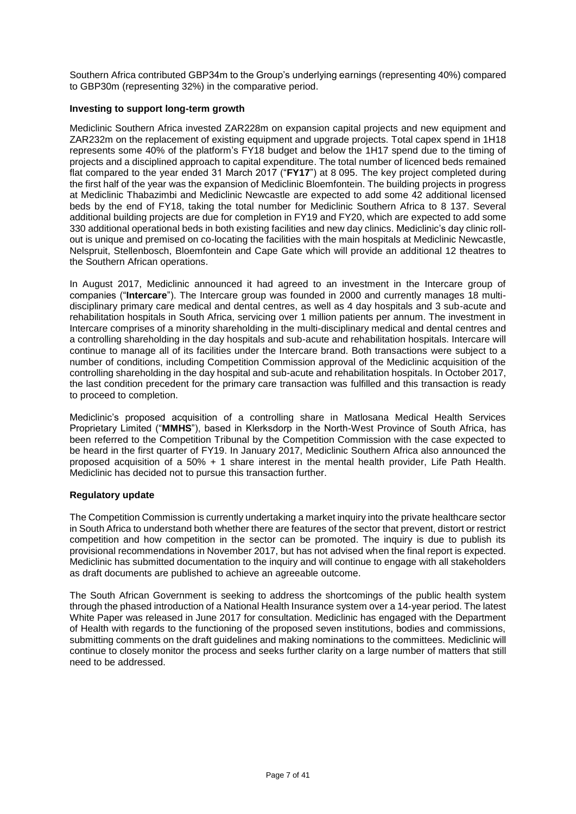Southern Africa contributed GBP34m to the Group's underlying earnings (representing 40%) compared to GBP30m (representing 32%) in the comparative period.

## **Investing to support long-term growth**

Mediclinic Southern Africa invested ZAR228m on expansion capital projects and new equipment and ZAR232m on the replacement of existing equipment and upgrade projects. Total capex spend in 1H18 represents some 40% of the platform's FY18 budget and below the 1H17 spend due to the timing of projects and a disciplined approach to capital expenditure. The total number of licenced beds remained flat compared to the year ended 31 March 2017 ("**FY17**") at 8 095. The key project completed during the first half of the year was the expansion of Mediclinic Bloemfontein. The building projects in progress at Mediclinic Thabazimbi and Mediclinic Newcastle are expected to add some 42 additional licensed beds by the end of FY18, taking the total number for Mediclinic Southern Africa to 8 137. Several additional building projects are due for completion in FY19 and FY20, which are expected to add some 330 additional operational beds in both existing facilities and new day clinics. Mediclinic's day clinic rollout is unique and premised on co-locating the facilities with the main hospitals at Mediclinic Newcastle, Nelspruit, Stellenbosch, Bloemfontein and Cape Gate which will provide an additional 12 theatres to the Southern African operations.

In August 2017, Mediclinic announced it had agreed to an investment in the Intercare group of companies ("**Intercare**"). The Intercare group was founded in 2000 and currently manages 18 multidisciplinary primary care medical and dental centres, as well as 4 day hospitals and 3 sub-acute and rehabilitation hospitals in South Africa, servicing over 1 million patients per annum. The investment in Intercare comprises of a minority shareholding in the multi-disciplinary medical and dental centres and a controlling shareholding in the day hospitals and sub-acute and rehabilitation hospitals. Intercare will continue to manage all of its facilities under the Intercare brand. Both transactions were subject to a number of conditions, including Competition Commission approval of the Mediclinic acquisition of the controlling shareholding in the day hospital and sub-acute and rehabilitation hospitals. In October 2017, the last condition precedent for the primary care transaction was fulfilled and this transaction is ready to proceed to completion.

Mediclinic's proposed acquisition of a controlling share in Matlosana Medical Health Services Proprietary Limited ("**MMHS**"), based in Klerksdorp in the North-West Province of South Africa, has been referred to the Competition Tribunal by the Competition Commission with the case expected to be heard in the first quarter of FY19. In January 2017, Mediclinic Southern Africa also announced the proposed acquisition of a 50% + 1 share interest in the mental health provider, Life Path Health. Mediclinic has decided not to pursue this transaction further.

# **Regulatory update**

The Competition Commission is currently undertaking a market inquiry into the private healthcare sector in South Africa to understand both whether there are features of the sector that prevent, distort or restrict competition and how competition in the sector can be promoted. The inquiry is due to publish its provisional recommendations in November 2017, but has not advised when the final report is expected. Mediclinic has submitted documentation to the inquiry and will continue to engage with all stakeholders as draft documents are published to achieve an agreeable outcome.

The South African Government is seeking to address the shortcomings of the public health system through the phased introduction of a National Health Insurance system over a 14-year period. The latest White Paper was released in June 2017 for consultation. Mediclinic has engaged with the Department of Health with regards to the functioning of the proposed seven institutions, bodies and commissions, submitting comments on the draft guidelines and making nominations to the committees. Mediclinic will continue to closely monitor the process and seeks further clarity on a large number of matters that still need to be addressed.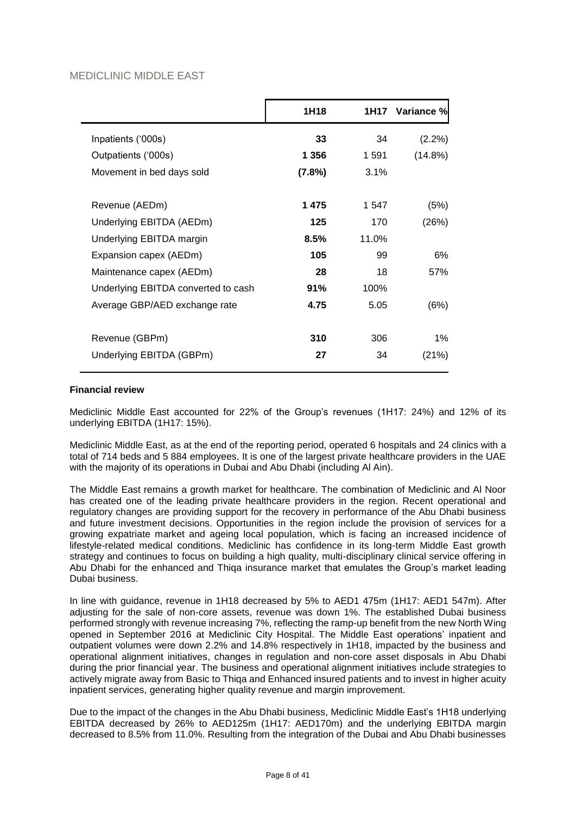# MEDICLINIC MIDDLE EAST

|                                     | 1H18    |       | 1H17 Variance % |
|-------------------------------------|---------|-------|-----------------|
| Inpatients ('000s)                  | 33      | 34    | $(2.2\%)$       |
| Outpatients ('000s)                 | 1 3 5 6 | 1 591 | (14.8%)         |
| Movement in bed days sold           | (7.8%)  | 3.1%  |                 |
| Revenue (AEDm)                      | 1475    | 1547  | (5%)            |
| Underlying EBITDA (AEDm)            | 125     | 170   | (26%)           |
| Underlying EBITDA margin            | 8.5%    | 11.0% |                 |
| Expansion capex (AEDm)              | 105     | 99    | 6%              |
| Maintenance capex (AEDm)            | 28      | 18    | 57%             |
| Underlying EBITDA converted to cash | 91%     | 100%  |                 |
| Average GBP/AED exchange rate       | 4.75    | 5.05  | (6%)            |
| Revenue (GBPm)                      | 310     | 306   | 1%              |
| Underlying EBITDA (GBPm)            | 27      | 34    | (21%)           |

### **Financial review**

Mediclinic Middle East accounted for 22% of the Group's revenues (1H17: 24%) and 12% of its underlying EBITDA (1H17: 15%).

Mediclinic Middle East, as at the end of the reporting period, operated 6 hospitals and 24 clinics with a total of 714 beds and 5 884 employees. It is one of the largest private healthcare providers in the UAE with the majority of its operations in Dubai and Abu Dhabi (including Al Ain).

The Middle East remains a growth market for healthcare. The combination of Mediclinic and Al Noor has created one of the leading private healthcare providers in the region. Recent operational and regulatory changes are providing support for the recovery in performance of the Abu Dhabi business and future investment decisions. Opportunities in the region include the provision of services for a growing expatriate market and ageing local population, which is facing an increased incidence of lifestyle-related medical conditions. Mediclinic has confidence in its long-term Middle East growth strategy and continues to focus on building a high quality, multi-disciplinary clinical service offering in Abu Dhabi for the enhanced and Thiqa insurance market that emulates the Group's market leading Dubai business.

In line with guidance, revenue in 1H18 decreased by 5% to AED1 475m (1H17: AED1 547m). After adjusting for the sale of non-core assets, revenue was down 1%. The established Dubai business performed strongly with revenue increasing 7%, reflecting the ramp-up benefit from the new North Wing opened in September 2016 at Mediclinic City Hospital. The Middle East operations' inpatient and outpatient volumes were down 2.2% and 14.8% respectively in 1H18, impacted by the business and operational alignment initiatives, changes in regulation and non-core asset disposals in Abu Dhabi during the prior financial year. The business and operational alignment initiatives include strategies to actively migrate away from Basic to Thiqa and Enhanced insured patients and to invest in higher acuity inpatient services, generating higher quality revenue and margin improvement.

Due to the impact of the changes in the Abu Dhabi business, Mediclinic Middle East's 1H18 underlying EBITDA decreased by 26% to AED125m (1H17: AED170m) and the underlying EBITDA margin decreased to 8.5% from 11.0%. Resulting from the integration of the Dubai and Abu Dhabi businesses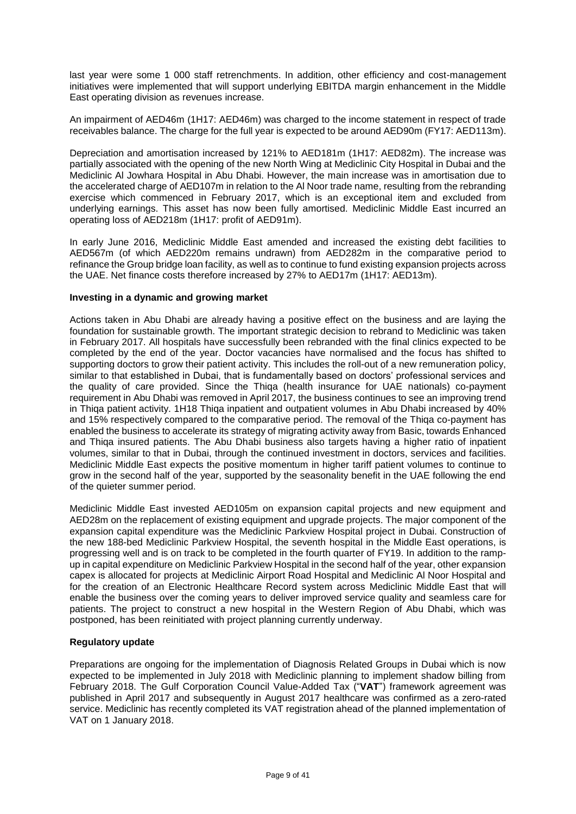last year were some 1 000 staff retrenchments. In addition, other efficiency and cost-management initiatives were implemented that will support underlying EBITDA margin enhancement in the Middle East operating division as revenues increase.

An impairment of AED46m (1H17: AED46m) was charged to the income statement in respect of trade receivables balance. The charge for the full year is expected to be around AED90m (FY17: AED113m).

Depreciation and amortisation increased by 121% to AED181m (1H17: AED82m). The increase was partially associated with the opening of the new North Wing at Mediclinic City Hospital in Dubai and the Mediclinic Al Jowhara Hospital in Abu Dhabi. However, the main increase was in amortisation due to the accelerated charge of AED107m in relation to the Al Noor trade name, resulting from the rebranding exercise which commenced in February 2017, which is an exceptional item and excluded from underlying earnings. This asset has now been fully amortised. Mediclinic Middle East incurred an operating loss of AED218m (1H17: profit of AED91m).

In early June 2016, Mediclinic Middle East amended and increased the existing debt facilities to AED567m (of which AED220m remains undrawn) from AED282m in the comparative period to refinance the Group bridge loan facility, as well as to continue to fund existing expansion projects across the UAE. Net finance costs therefore increased by 27% to AED17m (1H17: AED13m).

## **Investing in a dynamic and growing market**

Actions taken in Abu Dhabi are already having a positive effect on the business and are laying the foundation for sustainable growth. The important strategic decision to rebrand to Mediclinic was taken in February 2017. All hospitals have successfully been rebranded with the final clinics expected to be completed by the end of the year. Doctor vacancies have normalised and the focus has shifted to supporting doctors to grow their patient activity. This includes the roll-out of a new remuneration policy, similar to that established in Dubai, that is fundamentally based on doctors' professional services and the quality of care provided. Since the Thiqa (health insurance for UAE nationals) co-payment requirement in Abu Dhabi was removed in April 2017, the business continues to see an improving trend in Thiqa patient activity. 1H18 Thiqa inpatient and outpatient volumes in Abu Dhabi increased by 40% and 15% respectively compared to the comparative period. The removal of the Thiqa co-payment has enabled the business to accelerate its strategy of migrating activity away from Basic, towards Enhanced and Thiqa insured patients. The Abu Dhabi business also targets having a higher ratio of inpatient volumes, similar to that in Dubai, through the continued investment in doctors, services and facilities. Mediclinic Middle East expects the positive momentum in higher tariff patient volumes to continue to grow in the second half of the year, supported by the seasonality benefit in the UAE following the end of the quieter summer period.

Mediclinic Middle East invested AED105m on expansion capital projects and new equipment and AED28m on the replacement of existing equipment and upgrade projects. The major component of the expansion capital expenditure was the Mediclinic Parkview Hospital project in Dubai. Construction of the new 188-bed Mediclinic Parkview Hospital, the seventh hospital in the Middle East operations, is progressing well and is on track to be completed in the fourth quarter of FY19. In addition to the rampup in capital expenditure on Mediclinic Parkview Hospital in the second half of the year, other expansion capex is allocated for projects at Mediclinic Airport Road Hospital and Mediclinic Al Noor Hospital and for the creation of an Electronic Healthcare Record system across Mediclinic Middle East that will enable the business over the coming years to deliver improved service quality and seamless care for patients. The project to construct a new hospital in the Western Region of Abu Dhabi, which was postponed, has been reinitiated with project planning currently underway.

# **Regulatory update**

Preparations are ongoing for the implementation of Diagnosis Related Groups in Dubai which is now expected to be implemented in July 2018 with Mediclinic planning to implement shadow billing from February 2018. The Gulf Corporation Council Value-Added Tax ("**VAT**") framework agreement was published in April 2017 and subsequently in August 2017 healthcare was confirmed as a zero-rated service. Mediclinic has recently completed its VAT registration ahead of the planned implementation of VAT on 1 January 2018.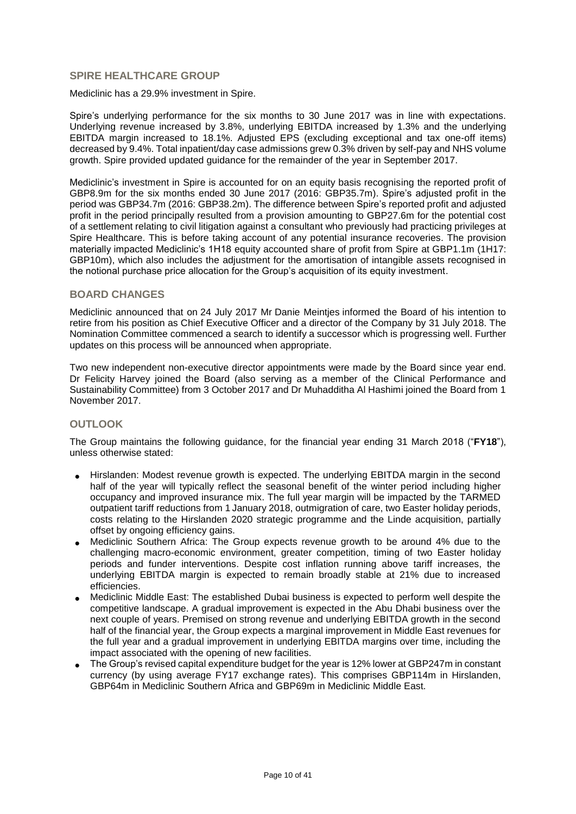### **SPIRE HEALTHCARE GROUP**

Mediclinic has a 29.9% investment in Spire.

Spire's underlying performance for the six months to 30 June 2017 was in line with expectations. Underlying revenue increased by 3.8%, underlying EBITDA increased by 1.3% and the underlying EBITDA margin increased to 18.1%. Adjusted EPS (excluding exceptional and tax one-off items) decreased by 9.4%. Total inpatient/day case admissions grew 0.3% driven by self-pay and NHS volume growth. Spire provided updated guidance for the remainder of the year in September 2017.

Mediclinic's investment in Spire is accounted for on an equity basis recognising the reported profit of GBP8.9m for the six months ended 30 June 2017 (2016: GBP35.7m). Spire's adjusted profit in the period was GBP34.7m (2016: GBP38.2m). The difference between Spire's reported profit and adjusted profit in the period principally resulted from a provision amounting to GBP27.6m for the potential cost of a settlement relating to civil litigation against a consultant who previously had practicing privileges at Spire Healthcare. This is before taking account of any potential insurance recoveries. The provision materially impacted Mediclinic's 1H18 equity accounted share of profit from Spire at GBP1.1m (1H17: GBP10m), which also includes the adjustment for the amortisation of intangible assets recognised in the notional purchase price allocation for the Group's acquisition of its equity investment.

### **BOARD CHANGES**

Mediclinic announced that on 24 July 2017 Mr Danie Meintjes informed the Board of his intention to retire from his position as Chief Executive Officer and a director of the Company by 31 July 2018. The Nomination Committee commenced a search to identify a successor which is progressing well. Further updates on this process will be announced when appropriate.

Two new independent non-executive director appointments were made by the Board since year end. Dr Felicity Harvey joined the Board (also serving as a member of the Clinical Performance and Sustainability Committee) from 3 October 2017 and Dr Muhadditha Al Hashimi joined the Board from 1 November 2017.

# **OUTLOOK**

The Group maintains the following guidance, for the financial year ending 31 March 2018 ("**FY18**"), unless otherwise stated:

- Hirslanden: Modest revenue growth is expected. The underlying EBITDA margin in the second half of the year will typically reflect the seasonal benefit of the winter period including higher occupancy and improved insurance mix. The full year margin will be impacted by the TARMED outpatient tariff reductions from 1 January 2018, outmigration of care, two Easter holiday periods, costs relating to the Hirslanden 2020 strategic programme and the Linde acquisition, partially offset by ongoing efficiency gains.
- Mediclinic Southern Africa: The Group expects revenue growth to be around 4% due to the challenging macro-economic environment, greater competition, timing of two Easter holiday periods and funder interventions. Despite cost inflation running above tariff increases, the underlying EBITDA margin is expected to remain broadly stable at 21% due to increased efficiencies.
- Mediclinic Middle East: The established Dubai business is expected to perform well despite the competitive landscape. A gradual improvement is expected in the Abu Dhabi business over the next couple of years. Premised on strong revenue and underlying EBITDA growth in the second half of the financial year, the Group expects a marginal improvement in Middle East revenues for the full year and a gradual improvement in underlying EBITDA margins over time, including the impact associated with the opening of new facilities.
- The Group's revised capital expenditure budget for the year is 12% lower at GBP247m in constant currency (by using average FY17 exchange rates). This comprises GBP114m in Hirslanden, GBP64m in Mediclinic Southern Africa and GBP69m in Mediclinic Middle East.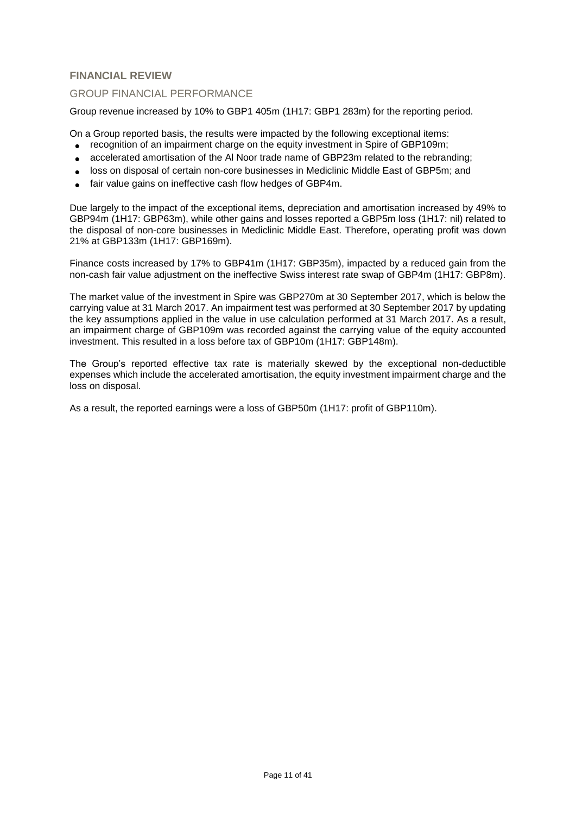# **FINANCIAL REVIEW**

# GROUP FINANCIAL PERFORMANCE

Group revenue increased by 10% to GBP1 405m (1H17: GBP1 283m) for the reporting period.

On a Group reported basis, the results were impacted by the following exceptional items:

- recognition of an impairment charge on the equity investment in Spire of GBP109m;
- accelerated amortisation of the Al Noor trade name of GBP23m related to the rebranding;
- loss on disposal of certain non-core businesses in Mediclinic Middle East of GBP5m; and
- fair value gains on ineffective cash flow hedges of GBP4m.

Due largely to the impact of the exceptional items, depreciation and amortisation increased by 49% to GBP94m (1H17: GBP63m), while other gains and losses reported a GBP5m loss (1H17: nil) related to the disposal of non-core businesses in Mediclinic Middle East. Therefore, operating profit was down 21% at GBP133m (1H17: GBP169m).

Finance costs increased by 17% to GBP41m (1H17: GBP35m), impacted by a reduced gain from the non-cash fair value adjustment on the ineffective Swiss interest rate swap of GBP4m (1H17: GBP8m).

The market value of the investment in Spire was GBP270m at 30 September 2017, which is below the carrying value at 31 March 2017. An impairment test was performed at 30 September 2017 by updating the key assumptions applied in the value in use calculation performed at 31 March 2017. As a result, an impairment charge of GBP109m was recorded against the carrying value of the equity accounted investment. This resulted in a loss before tax of GBP10m (1H17: GBP148m).

The Group's reported effective tax rate is materially skewed by the exceptional non-deductible expenses which include the accelerated amortisation, the equity investment impairment charge and the loss on disposal.

As a result, the reported earnings were a loss of GBP50m (1H17: profit of GBP110m).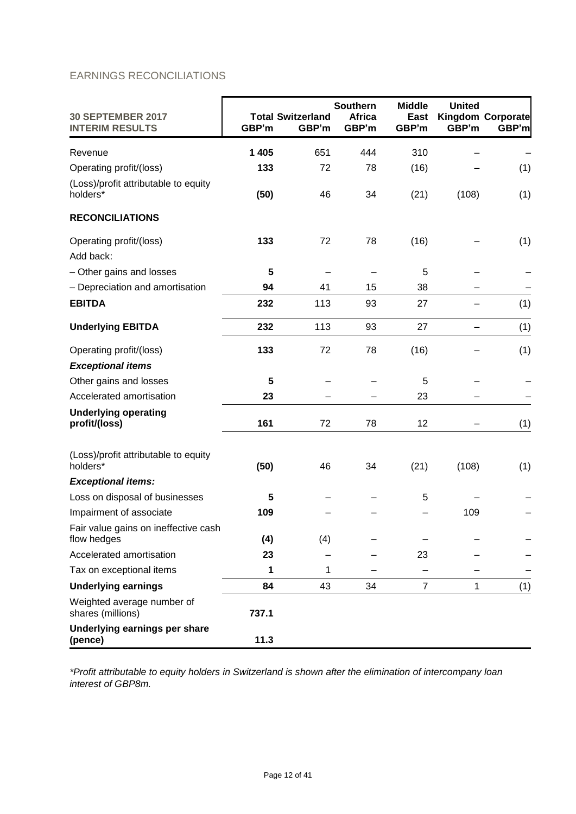# EARNINGS RECONCILIATIONS

| <b>30 SEPTEMBER 2017</b><br><b>INTERIM RESULTS</b>  | GBP'm   | <b>Total Switzerland</b><br>GBP'm | <b>Southern</b><br><b>Africa</b><br>GBP'm | <b>Middle</b><br>East<br>GBP'm | <b>United</b><br>GBP'm | <b>Kingdom Corporate</b><br>GBP'm |
|-----------------------------------------------------|---------|-----------------------------------|-------------------------------------------|--------------------------------|------------------------|-----------------------------------|
| Revenue                                             | 1 4 0 5 | 651                               | 444                                       | 310                            |                        |                                   |
| Operating profit/(loss)                             | 133     | 72                                | 78                                        | (16)                           |                        | (1)                               |
| (Loss)/profit attributable to equity<br>holders*    | (50)    | 46                                | 34                                        | (21)                           | (108)                  | (1)                               |
| <b>RECONCILIATIONS</b>                              |         |                                   |                                           |                                |                        |                                   |
| Operating profit/(loss)<br>Add back:                | 133     | 72                                | 78                                        | (16)                           |                        | (1)                               |
| - Other gains and losses                            | 5       |                                   |                                           | 5                              |                        |                                   |
| - Depreciation and amortisation                     | 94      | 41                                | 15                                        | 38                             |                        |                                   |
| <b>EBITDA</b>                                       | 232     | 113                               | 93                                        | 27                             |                        | (1)                               |
| <b>Underlying EBITDA</b>                            | 232     | 113                               | 93                                        | 27                             |                        | (1)                               |
| Operating profit/(loss)<br><b>Exceptional items</b> | 133     | 72                                | 78                                        | (16)                           |                        | (1)                               |
| Other gains and losses                              | 5       |                                   |                                           | 5                              |                        |                                   |
| Accelerated amortisation                            | 23      |                                   |                                           | 23                             |                        |                                   |
| <b>Underlying operating</b><br>profit/(loss)        | 161     | 72                                | 78                                        | 12                             |                        | (1)                               |
| (Loss)/profit attributable to equity<br>holders*    | (50)    | 46                                | 34                                        | (21)                           | (108)                  | (1)                               |
| <b>Exceptional items:</b>                           |         |                                   |                                           |                                |                        |                                   |
| Loss on disposal of businesses                      | 5       |                                   |                                           | 5                              |                        |                                   |
| Impairment of associate                             | 109     |                                   |                                           |                                | 109                    |                                   |
| Fair value gains on ineffective cash<br>flow hedges | (4)     | (4)                               |                                           |                                |                        |                                   |
| Accelerated amortisation                            | 23      |                                   |                                           | 23                             |                        |                                   |
| Tax on exceptional items                            | 1       | $\mathbf 1$                       |                                           |                                |                        |                                   |
| <b>Underlying earnings</b>                          | 84      | 43                                | 34                                        | $\overline{7}$                 | 1                      | (1)                               |
| Weighted average number of<br>shares (millions)     | 737.1   |                                   |                                           |                                |                        |                                   |
| Underlying earnings per share<br>(pence)            | 11.3    |                                   |                                           |                                |                        |                                   |

*\*Profit attributable to equity holders in Switzerland is shown after the elimination of intercompany loan interest of GBP8m.*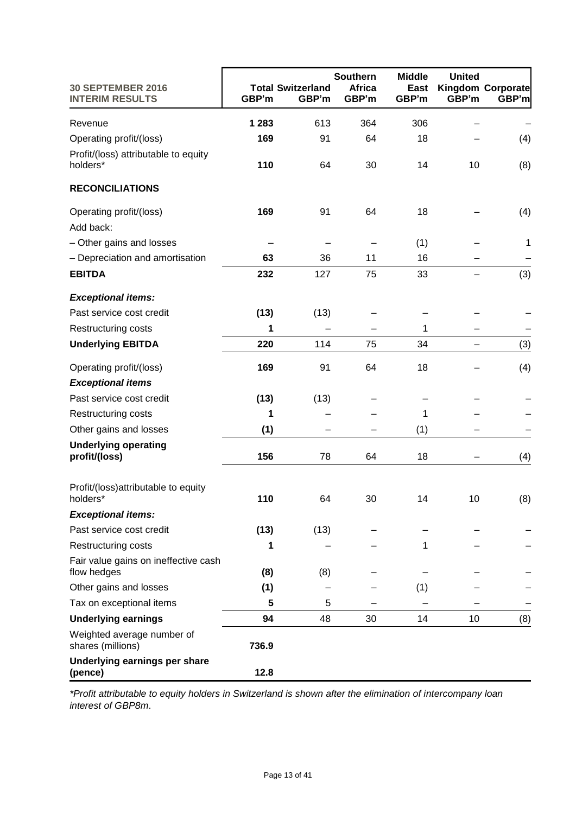| <b>30 SEPTEMBER 2016</b><br><b>INTERIM RESULTS</b>  | GBP'm   | <b>Total Switzerland</b><br>GBP'm | <b>Southern</b><br><b>Africa</b><br>GBP'm | <b>Middle</b><br>East<br>GBP'm | <b>United</b><br>GBP'm | <b>Kingdom Corporate</b><br>GBP'm |
|-----------------------------------------------------|---------|-----------------------------------|-------------------------------------------|--------------------------------|------------------------|-----------------------------------|
| Revenue                                             | 1 2 8 3 | 613                               | 364                                       | 306                            |                        |                                   |
| Operating profit/(loss)                             | 169     | 91                                | 64                                        | 18                             |                        | (4)                               |
| Profit/(loss) attributable to equity<br>holders*    | 110     | 64                                | 30                                        | 14                             | 10                     | (8)                               |
| <b>RECONCILIATIONS</b>                              |         |                                   |                                           |                                |                        |                                   |
| Operating profit/(loss)                             | 169     | 91                                | 64                                        | 18                             |                        | (4)                               |
| Add back:                                           |         |                                   |                                           |                                |                        |                                   |
| - Other gains and losses                            |         |                                   |                                           | (1)                            |                        | 1                                 |
| - Depreciation and amortisation                     | 63      | 36                                | 11                                        | 16                             |                        |                                   |
| <b>EBITDA</b>                                       | 232     | 127                               | 75                                        | 33                             |                        | (3)                               |
| <b>Exceptional items:</b>                           |         |                                   |                                           |                                |                        |                                   |
| Past service cost credit                            | (13)    | (13)                              |                                           |                                |                        |                                   |
| Restructuring costs                                 | 1       |                                   |                                           | 1                              |                        |                                   |
| <b>Underlying EBITDA</b>                            | 220     | 114                               | 75                                        | 34                             |                        | (3)                               |
| Operating profit/(loss)                             | 169     | 91                                | 64                                        | 18                             |                        | (4)                               |
| <b>Exceptional items</b>                            |         |                                   |                                           |                                |                        |                                   |
| Past service cost credit                            | (13)    | (13)                              |                                           |                                |                        |                                   |
| Restructuring costs                                 | 1       |                                   |                                           | 1                              |                        |                                   |
| Other gains and losses                              | (1)     |                                   |                                           | (1)                            |                        |                                   |
| <b>Underlying operating</b><br>profit/(loss)        | 156     | 78                                | 64                                        | 18                             |                        | (4)                               |
| Profit/(loss)attributable to equity<br>holders*     | 110     | 64                                | 30                                        | 14                             | 10                     | (8)                               |
| <b>Exceptional items:</b>                           |         |                                   |                                           |                                |                        |                                   |
| Past service cost credit                            | (13)    | (13)                              |                                           |                                |                        |                                   |
| <b>Restructuring costs</b>                          | 1       |                                   |                                           | 1                              |                        |                                   |
| Fair value gains on ineffective cash<br>flow hedges | (8)     | (8)                               |                                           |                                |                        |                                   |
| Other gains and losses                              | (1)     |                                   |                                           | (1)                            |                        |                                   |
| Tax on exceptional items                            | 5       | 5                                 |                                           |                                |                        |                                   |
| <b>Underlying earnings</b>                          | 94      | 48                                | 30                                        | 14                             | 10                     | (8)                               |
| Weighted average number of<br>shares (millions)     | 736.9   |                                   |                                           |                                |                        |                                   |
| Underlying earnings per share<br>(pence)            | 12.8    |                                   |                                           |                                |                        |                                   |

*\*Profit attributable to equity holders in Switzerland is shown after the elimination of intercompany loan interest of GBP8m*.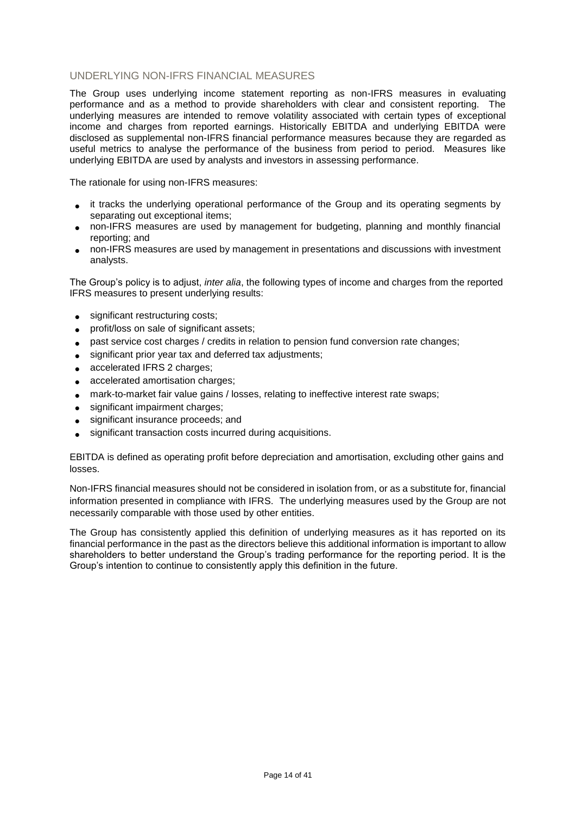# UNDERLYING NON-IFRS FINANCIAL MEASURES

The Group uses underlying income statement reporting as non-IFRS measures in evaluating performance and as a method to provide shareholders with clear and consistent reporting. The underlying measures are intended to remove volatility associated with certain types of exceptional income and charges from reported earnings. Historically EBITDA and underlying EBITDA were disclosed as supplemental non-IFRS financial performance measures because they are regarded as useful metrics to analyse the performance of the business from period to period. Measures like underlying EBITDA are used by analysts and investors in assessing performance.

The rationale for using non-IFRS measures:

- it tracks the underlying operational performance of the Group and its operating segments by separating out exceptional items;
- non-IFRS measures are used by management for budgeting, planning and monthly financial reporting; and
- non-IFRS measures are used by management in presentations and discussions with investment analysts.

The Group's policy is to adjust, *inter alia*, the following types of income and charges from the reported IFRS measures to present underlying results:

- significant restructuring costs;
- profit/loss on sale of significant assets;
- past service cost charges / credits in relation to pension fund conversion rate changes;
- significant prior year tax and deferred tax adjustments;
- accelerated IFRS 2 charges;
- accelerated amortisation charges;
- mark-to-market fair value gains / losses, relating to ineffective interest rate swaps;
- significant impairment charges;
- significant insurance proceeds; and
- significant transaction costs incurred during acquisitions.

EBITDA is defined as operating profit before depreciation and amortisation, excluding other gains and losses.

Non-IFRS financial measures should not be considered in isolation from, or as a substitute for, financial information presented in compliance with IFRS. The underlying measures used by the Group are not necessarily comparable with those used by other entities.

The Group has consistently applied this definition of underlying measures as it has reported on its financial performance in the past as the directors believe this additional information is important to allow shareholders to better understand the Group's trading performance for the reporting period. It is the Group's intention to continue to consistently apply this definition in the future.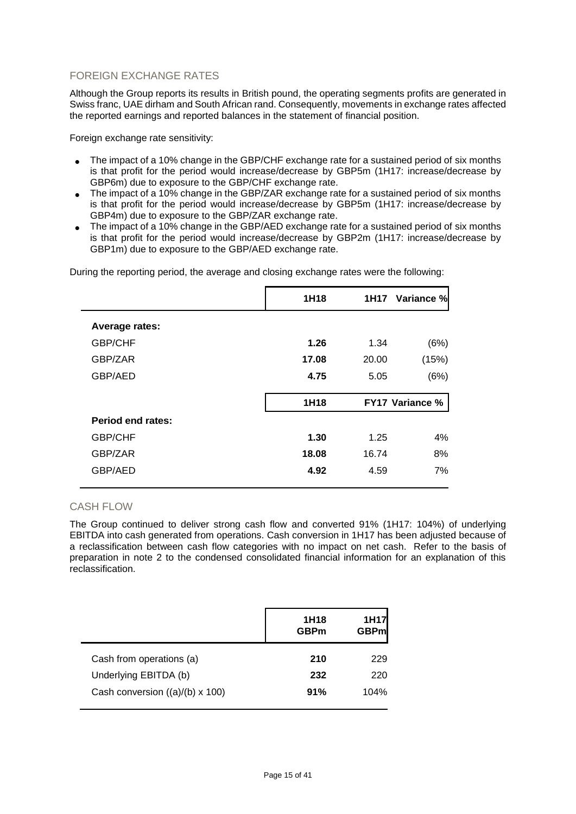# FOREIGN EXCHANGE RATES

Although the Group reports its results in British pound, the operating segments profits are generated in Swiss franc, UAE dirham and South African rand. Consequently, movements in exchange rates affected the reported earnings and reported balances in the statement of financial position.

Foreign exchange rate sensitivity:

- The impact of a 10% change in the GBP/CHF exchange rate for a sustained period of six months is that profit for the period would increase/decrease by GBP5m (1H17: increase/decrease by GBP6m) due to exposure to the GBP/CHF exchange rate.
- The impact of a 10% change in the GBP/ZAR exchange rate for a sustained period of six months is that profit for the period would increase/decrease by GBP5m (1H17: increase/decrease by GBP4m) due to exposure to the GBP/ZAR exchange rate.
- The impact of a 10% change in the GBP/AED exchange rate for a sustained period of six months is that profit for the period would increase/decrease by GBP2m (1H17: increase/decrease by GBP1m) due to exposure to the GBP/AED exchange rate.

|                          | 1H18  |       | 1H17 Variance %        |
|--------------------------|-------|-------|------------------------|
| <b>Average rates:</b>    |       |       |                        |
| <b>GBP/CHF</b>           | 1.26  | 1.34  | (6%)                   |
| GBP/ZAR                  | 17.08 | 20.00 | (15%)                  |
| GBP/AED                  | 4.75  | 5.05  | (6%)                   |
|                          | 1H18  |       | <b>FY17 Variance %</b> |
| <b>Period end rates:</b> |       |       |                        |
| <b>GBP/CHF</b>           | 1.30  | 1.25  | 4%                     |
| GBP/ZAR                  | 18.08 | 16.74 | 8%                     |
| GBP/AED                  | 4.92  | 4.59  | 7%                     |
|                          |       |       |                        |

During the reporting period, the average and closing exchange rates were the following:

# CASH FLOW

The Group continued to deliver strong cash flow and converted 91% (1H17: 104%) of underlying EBITDA into cash generated from operations. Cash conversion in 1H17 has been adjusted because of a reclassification between cash flow categories with no impact on net cash. Refer to the basis of preparation in note 2 to the condensed consolidated financial information for an explanation of this reclassification.

|                                 | 1H <sub>18</sub><br><b>GBPm</b> | 1H17<br><b>GBPm</b> |
|---------------------------------|---------------------------------|---------------------|
| Cash from operations (a)        | 210                             | 229                 |
| Underlying EBITDA (b)           | 232                             | 220                 |
| Cash conversion ((a)/(b) x 100) | 91%                             | 104%                |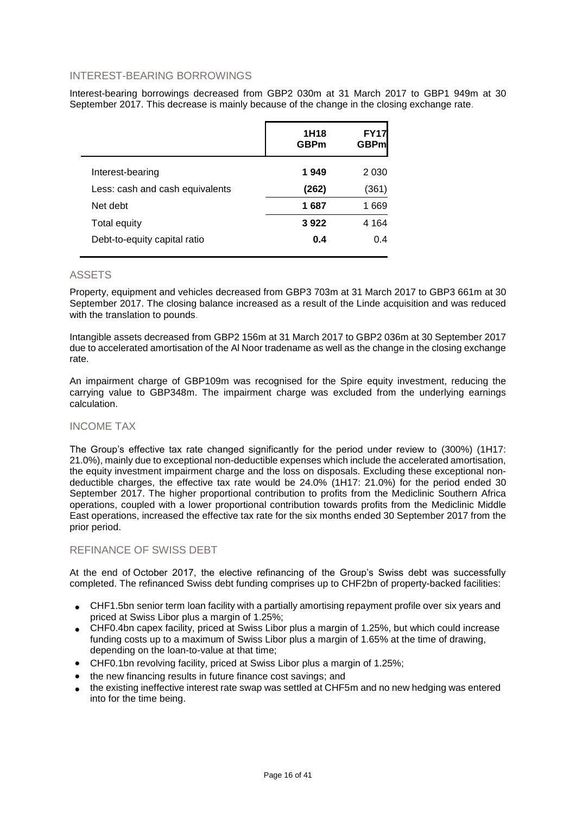## INTEREST-BEARING BORROWINGS

Interest-bearing borrowings decreased from GBP2 030m at 31 March 2017 to GBP1 949m at 30 September 2017. This decrease is mainly because of the change in the closing exchange rate.

| 1H18<br><b>GBPm</b> | <b>FY17</b><br><b>GBPm</b> |
|---------------------|----------------------------|
| 1949                | 2 0 3 0                    |
| (262)               | (361)                      |
| 1687                | 1669                       |
| 3922                | 4 1 6 4                    |
| 0.4                 | 0.4                        |
|                     |                            |

### **ASSETS**

Property, equipment and vehicles decreased from GBP3 703m at 31 March 2017 to GBP3 661m at 30 September 2017. The closing balance increased as a result of the Linde acquisition and was reduced with the translation to pounds.

Intangible assets decreased from GBP2 156m at 31 March 2017 to GBP2 036m at 30 September 2017 due to accelerated amortisation of the Al Noor tradename as well as the change in the closing exchange rate.

An impairment charge of GBP109m was recognised for the Spire equity investment, reducing the carrying value to GBP348m. The impairment charge was excluded from the underlying earnings calculation.

# INCOME TAX

The Group's effective tax rate changed significantly for the period under review to (300%) (1H17: 21.0%), mainly due to exceptional non-deductible expenses which include the accelerated amortisation, the equity investment impairment charge and the loss on disposals. Excluding these exceptional nondeductible charges, the effective tax rate would be 24.0% (1H17: 21.0%) for the period ended 30 September 2017. The higher proportional contribution to profits from the Mediclinic Southern Africa operations, coupled with a lower proportional contribution towards profits from the Mediclinic Middle East operations, increased the effective tax rate for the six months ended 30 September 2017 from the prior period.

# REFINANCE OF SWISS DEBT

At the end of October 2017, the elective refinancing of the Group's Swiss debt was successfully completed. The refinanced Swiss debt funding comprises up to CHF2bn of property-backed facilities:

- CHF1.5bn senior term loan facility with a partially amortising repayment profile over six years and priced at Swiss Libor plus a margin of 1.25%;
- CHF0.4bn capex facility, priced at Swiss Libor plus a margin of 1.25%, but which could increase funding costs up to a maximum of Swiss Libor plus a margin of 1.65% at the time of drawing, depending on the loan-to-value at that time;
- CHF0.1bn revolving facility, priced at Swiss Libor plus a margin of 1.25%;
- the new financing results in future finance cost savings; and
- the existing ineffective interest rate swap was settled at CHF5m and no new hedging was entered into for the time being.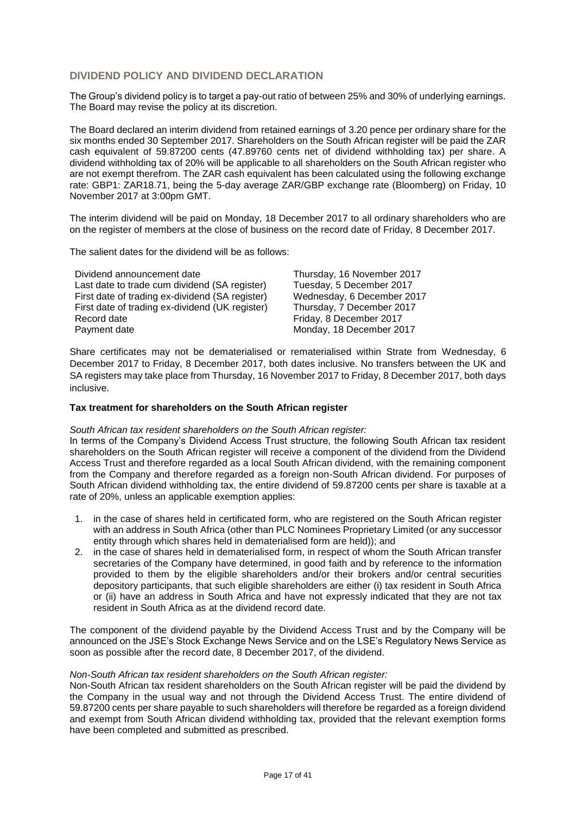# **DIVIDEND POLICY AND DIVIDEND DECLARATION**

The Group's dividend policy is to target a pay-out ratio of between 25% and 30% of underlying earnings. The Board may revise the policy at its discretion.

The Board declared an interim dividend from retained earnings of 3.20 pence per ordinary share for the six months ended 30 September 2017. Shareholders on the South African register will be paid the ZAR cash equivalent of 59.87200 cents (47.89760 cents net of dividend withholding tax) per share. A dividend withholding tax of 20% will be applicable to all shareholders on the South African register who are not exempt therefrom. The ZAR cash equivalent has been calculated using the following exchange rate: GBP1: ZAR18.71, being the 5-day average ZAR/GBP exchange rate (Bloomberg) on Friday, 10 November 2017 at 3:00pm GMT.

The interim dividend will be paid on Monday, 18 December 2017 to all ordinary shareholders who are on the register of members at the close of business on the record date of Friday, 8 December 2017.

The salient dates for the dividend will be as follows:

| Dividend announcement date                      | Thursday, 16 November 2017 |
|-------------------------------------------------|----------------------------|
| Last date to trade cum dividend (SA register)   | Tuesday, 5 December 2017   |
| First date of trading ex-dividend (SA register) | Wednesday, 6 December 2017 |
| First date of trading ex-dividend (UK register) | Thursday, 7 December 2017  |
| Record date                                     | Friday, 8 December 2017    |
| Payment date                                    | Monday, 18 December 2017   |

Share certificates may not be dematerialised or rematerialised within Strate from Wednesday, 6 December 2017 to Friday, 8 December 2017, both dates inclusive. No transfers between the UK and SA registers may take place from Thursday, 16 November 2017 to Friday, 8 December 2017, both days inclusive.

#### **Tax treatment for shareholders on the South African register**

#### *South African tax resident shareholders on the South African register:*

In terms of the Company's Dividend Access Trust structure, the following South African tax resident shareholders on the South African register will receive a component of the dividend from the Dividend Access Trust and therefore regarded as a local South African dividend, with the remaining component from the Company and therefore regarded as a foreign non-South African dividend. For purposes of South African dividend withholding tax, the entire dividend of 59.87200 cents per share is taxable at a rate of 20%, unless an applicable exemption applies:

- 1. in the case of shares held in certificated form, who are registered on the South African register with an address in South Africa (other than PLC Nominees Proprietary Limited (or any successor entity through which shares held in dematerialised form are held)); and
- 2. in the case of shares held in dematerialised form, in respect of whom the South African transfer secretaries of the Company have determined, in good faith and by reference to the information provided to them by the eligible shareholders and/or their brokers and/or central securities depository participants, that such eligible shareholders are either (i) tax resident in South Africa or (ii) have an address in South Africa and have not expressly indicated that they are not tax resident in South Africa as at the dividend record date.

The component of the dividend payable by the Dividend Access Trust and by the Company will be announced on the JSE's Stock Exchange News Service and on the LSE's Regulatory News Service as soon as possible after the record date, 8 December 2017, of the dividend.

#### *Non-South African tax resident shareholders on the South African register:*

Non-South African tax resident shareholders on the South African register will be paid the dividend by the Company in the usual way and not through the Dividend Access Trust. The entire dividend of 59.87200 cents per share payable to such shareholders will therefore be regarded as a foreign dividend and exempt from South African dividend withholding tax, provided that the relevant exemption forms have been completed and submitted as prescribed.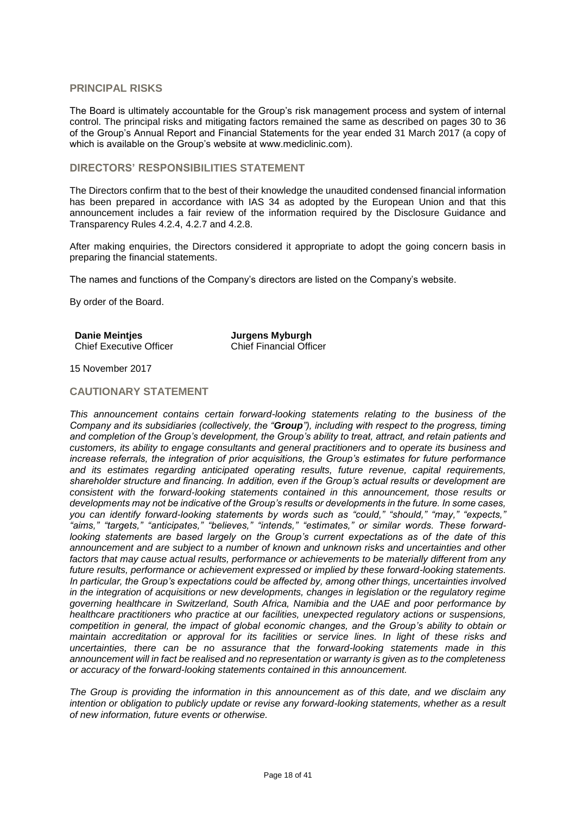# **PRINCIPAL RISKS**

The Board is ultimately accountable for the Group's risk management process and system of internal control. The principal risks and mitigating factors remained the same as described on pages 30 to 36 of the Group's Annual Report and Financial Statements for the year ended 31 March 2017 (a copy of which is available on the Group's website at www.mediclinic.com).

### **DIRECTORS' RESPONSIBILITIES STATEMENT**

The Directors confirm that to the best of their knowledge the unaudited condensed financial information has been prepared in accordance with IAS 34 as adopted by the European Union and that this announcement includes a fair review of the information required by the Disclosure Guidance and Transparency Rules 4.2.4, 4.2.7 and 4.2.8.

After making enquiries, the Directors considered it appropriate to adopt the going concern basis in preparing the financial statements.

The names and functions of the Company's directors are listed on the Company's website.

By order of the Board.

**Danie Meintjes Munical State Server Adventurery**<br>
Chief Executive Officer<br>
Chief Financial Officer Chief Executive Officer

15 November 2017

## **CAUTIONARY STATEMENT**

*This announcement contains certain forward-looking statements relating to the business of the Company and its subsidiaries (collectively, the "Group"), including with respect to the progress, timing and completion of the Group's development, the Group's ability to treat, attract, and retain patients and customers, its ability to engage consultants and general practitioners and to operate its business and increase referrals, the integration of prior acquisitions, the Group's estimates for future performance and its estimates regarding anticipated operating results, future revenue, capital requirements, shareholder structure and financing. In addition, even if the Group's actual results or development are consistent with the forward-looking statements contained in this announcement, those results or developments may not be indicative of the Group's results or developments in the future. In some cases, you can identify forward-looking statements by words such as "could," "should," "may," "expects," "aims," "targets," "anticipates," "believes," "intends," "estimates," or similar words. These forwardlooking statements are based largely on the Group's current expectations as of the date of this announcement and are subject to a number of known and unknown risks and uncertainties and other factors that may cause actual results, performance or achievements to be materially different from any future results, performance or achievement expressed or implied by these forward-looking statements. In particular, the Group's expectations could be affected by, among other things, uncertainties involved in the integration of acquisitions or new developments, changes in legislation or the regulatory regime governing healthcare in Switzerland, South Africa, Namibia and the UAE and poor performance by healthcare practitioners who practice at our facilities, unexpected regulatory actions or suspensions, competition in general, the impact of global economic changes, and the Group's ability to obtain or maintain accreditation or approval for its facilities or service lines. In light of these risks and uncertainties, there can be no assurance that the forward-looking statements made in this announcement will in fact be realised and no representation or warranty is given as to the completeness or accuracy of the forward-looking statements contained in this announcement.*

*The Group is providing the information in this announcement as of this date, and we disclaim any intention or obligation to publicly update or revise any forward-looking statements, whether as a result of new information, future events or otherwise.*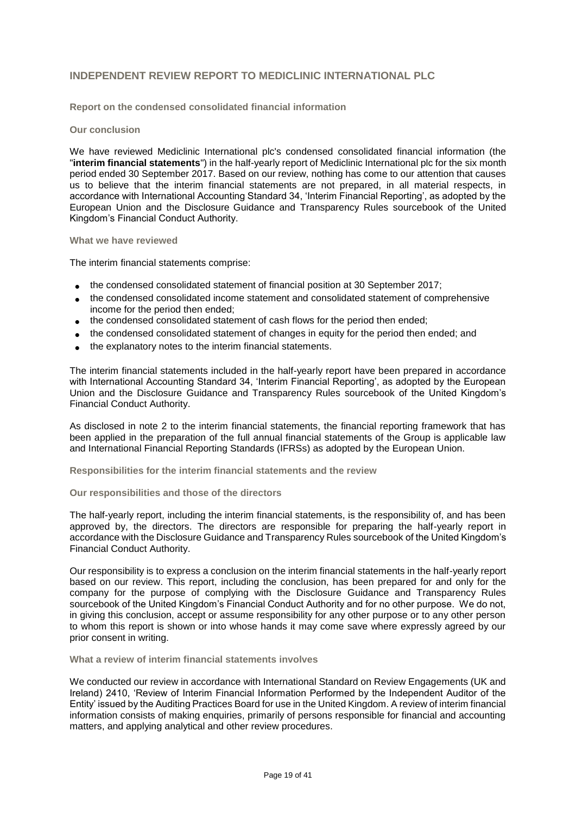# **INDEPENDENT REVIEW REPORT TO MEDICLINIC INTERNATIONAL PLC**

#### **Report on the condensed consolidated financial information**

#### **Our conclusion**

We have reviewed Mediclinic International plc's condensed consolidated financial information (the "**interim financial statements**") in the half-yearly report of Mediclinic International plc for the six month period ended 30 September 2017. Based on our review, nothing has come to our attention that causes us to believe that the interim financial statements are not prepared, in all material respects, in accordance with International Accounting Standard 34, 'Interim Financial Reporting', as adopted by the European Union and the Disclosure Guidance and Transparency Rules sourcebook of the United Kingdom's Financial Conduct Authority.

#### **What we have reviewed**

The interim financial statements comprise:

- the condensed consolidated statement of financial position at 30 September 2017;
- the condensed consolidated income statement and consolidated statement of comprehensive income for the period then ended;
- the condensed consolidated statement of cash flows for the period then ended;
- the condensed consolidated statement of changes in equity for the period then ended; and
- the explanatory notes to the interim financial statements.

The interim financial statements included in the half-yearly report have been prepared in accordance with International Accounting Standard 34, 'Interim Financial Reporting', as adopted by the European Union and the Disclosure Guidance and Transparency Rules sourcebook of the United Kingdom's Financial Conduct Authority.

As disclosed in note 2 to the interim financial statements, the financial reporting framework that has been applied in the preparation of the full annual financial statements of the Group is applicable law and International Financial Reporting Standards (IFRSs) as adopted by the European Union.

**Responsibilities for the interim financial statements and the review**

#### **Our responsibilities and those of the directors**

The half-yearly report, including the interim financial statements, is the responsibility of, and has been approved by, the directors. The directors are responsible for preparing the half-yearly report in accordance with the Disclosure Guidance and Transparency Rules sourcebook of the United Kingdom's Financial Conduct Authority.

Our responsibility is to express a conclusion on the interim financial statements in the half-yearly report based on our review. This report, including the conclusion, has been prepared for and only for the company for the purpose of complying with the Disclosure Guidance and Transparency Rules sourcebook of the United Kingdom's Financial Conduct Authority and for no other purpose. We do not, in giving this conclusion, accept or assume responsibility for any other purpose or to any other person to whom this report is shown or into whose hands it may come save where expressly agreed by our prior consent in writing.

#### **What a review of interim financial statements involves**

We conducted our review in accordance with International Standard on Review Engagements (UK and Ireland) 2410, 'Review of Interim Financial Information Performed by the Independent Auditor of the Entity' issued by the Auditing Practices Board for use in the United Kingdom. A review of interim financial information consists of making enquiries, primarily of persons responsible for financial and accounting matters, and applying analytical and other review procedures.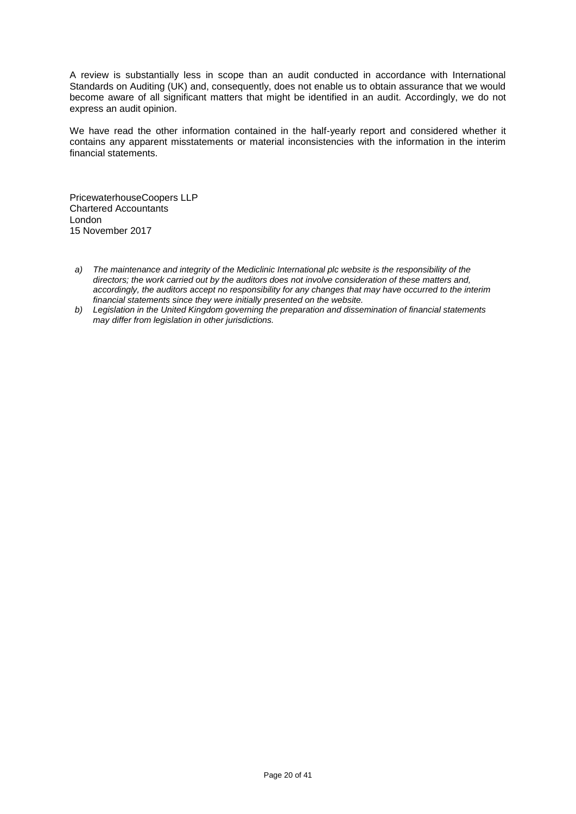A review is substantially less in scope than an audit conducted in accordance with International Standards on Auditing (UK) and, consequently, does not enable us to obtain assurance that we would become aware of all significant matters that might be identified in an audit. Accordingly, we do not express an audit opinion.

We have read the other information contained in the half-yearly report and considered whether it contains any apparent misstatements or material inconsistencies with the information in the interim financial statements.

PricewaterhouseCoopers LLP Chartered Accountants London 15 November 2017

- *a) The maintenance and integrity of the Mediclinic International plc website is the responsibility of the directors; the work carried out by the auditors does not involve consideration of these matters and, accordingly, the auditors accept no responsibility for any changes that may have occurred to the interim financial statements since they were initially presented on the website.*
- *b) Legislation in the United Kingdom governing the preparation and dissemination of financial statements may differ from legislation in other jurisdictions.*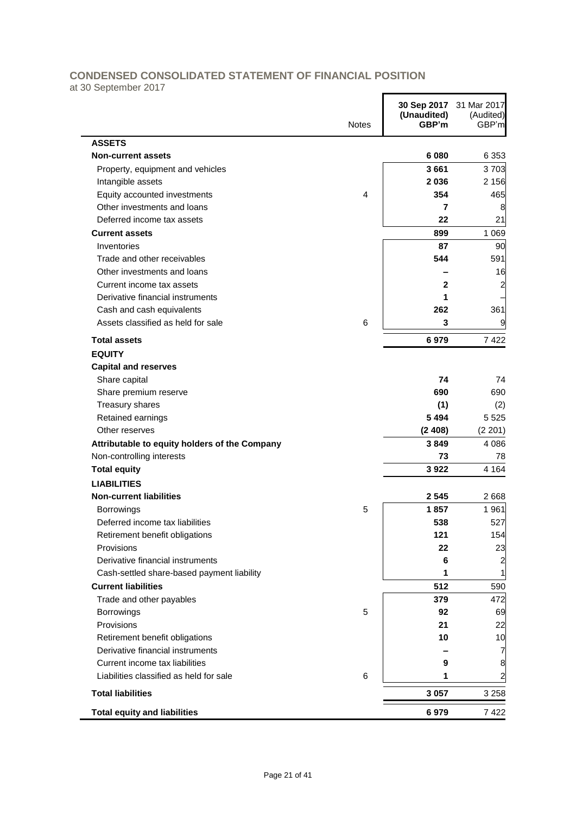# **CONDENSED CONSOLIDATED STATEMENT OF FINANCIAL POSITION**

at 30 September 2017

| 30 Sep 2017<br>(Unaudited)<br>GBP'm<br><b>Notes</b><br>6080<br>3661<br>Property, equipment and vehicles<br>2036<br>Intangible assets<br>Equity accounted investments<br>4<br>354<br>Other investments and loans<br>7<br>Deferred income tax assets<br>22<br>899<br>87<br>Inventories<br>Trade and other receivables<br>544<br>Other investments and loans<br>$\mathbf 2$<br>Current income tax assets<br>Derivative financial instruments<br>1<br>Cash and cash equivalents<br>262<br>Assets classified as held for sale<br>6<br>3<br>6979<br>Share capital<br>74<br>Share premium reserve<br>690<br>Treasury shares<br>(1)<br>Retained earnings<br>5494<br>Other reserves<br>(2408)<br>3849<br>73<br>3922<br>2545<br>1857<br>Borrowings<br>5<br>538<br>Deferred income tax liabilities<br>Retirement benefit obligations<br>121<br>Provisions<br>22<br>Derivative financial instruments<br>6<br>Cash-settled share-based payment liability<br>1<br>512<br>Trade and other payables<br>379<br>5<br>Borrowings<br>92<br>Provisions<br>21<br>Retirement benefit obligations<br>10<br>Derivative financial instruments<br>Current income tax liabilities<br>9<br>Liabilities classified as held for sale<br>6<br>1<br>3 0 5 7<br>6979 |                                               |  |                                   |
|------------------------------------------------------------------------------------------------------------------------------------------------------------------------------------------------------------------------------------------------------------------------------------------------------------------------------------------------------------------------------------------------------------------------------------------------------------------------------------------------------------------------------------------------------------------------------------------------------------------------------------------------------------------------------------------------------------------------------------------------------------------------------------------------------------------------------------------------------------------------------------------------------------------------------------------------------------------------------------------------------------------------------------------------------------------------------------------------------------------------------------------------------------------------------------------------------------------------------------|-----------------------------------------------|--|-----------------------------------|
|                                                                                                                                                                                                                                                                                                                                                                                                                                                                                                                                                                                                                                                                                                                                                                                                                                                                                                                                                                                                                                                                                                                                                                                                                                    |                                               |  | 31 Mar 2017<br>(Audited)<br>GBP'm |
|                                                                                                                                                                                                                                                                                                                                                                                                                                                                                                                                                                                                                                                                                                                                                                                                                                                                                                                                                                                                                                                                                                                                                                                                                                    | <b>ASSETS</b>                                 |  |                                   |
|                                                                                                                                                                                                                                                                                                                                                                                                                                                                                                                                                                                                                                                                                                                                                                                                                                                                                                                                                                                                                                                                                                                                                                                                                                    | <b>Non-current assets</b>                     |  | 6 3 5 3                           |
|                                                                                                                                                                                                                                                                                                                                                                                                                                                                                                                                                                                                                                                                                                                                                                                                                                                                                                                                                                                                                                                                                                                                                                                                                                    |                                               |  | 3703                              |
|                                                                                                                                                                                                                                                                                                                                                                                                                                                                                                                                                                                                                                                                                                                                                                                                                                                                                                                                                                                                                                                                                                                                                                                                                                    |                                               |  | 2 1 5 6                           |
|                                                                                                                                                                                                                                                                                                                                                                                                                                                                                                                                                                                                                                                                                                                                                                                                                                                                                                                                                                                                                                                                                                                                                                                                                                    |                                               |  | 465                               |
|                                                                                                                                                                                                                                                                                                                                                                                                                                                                                                                                                                                                                                                                                                                                                                                                                                                                                                                                                                                                                                                                                                                                                                                                                                    |                                               |  | 8                                 |
|                                                                                                                                                                                                                                                                                                                                                                                                                                                                                                                                                                                                                                                                                                                                                                                                                                                                                                                                                                                                                                                                                                                                                                                                                                    |                                               |  | 21                                |
|                                                                                                                                                                                                                                                                                                                                                                                                                                                                                                                                                                                                                                                                                                                                                                                                                                                                                                                                                                                                                                                                                                                                                                                                                                    | <b>Current assets</b>                         |  | 1 0 6 9                           |
|                                                                                                                                                                                                                                                                                                                                                                                                                                                                                                                                                                                                                                                                                                                                                                                                                                                                                                                                                                                                                                                                                                                                                                                                                                    |                                               |  | 90                                |
|                                                                                                                                                                                                                                                                                                                                                                                                                                                                                                                                                                                                                                                                                                                                                                                                                                                                                                                                                                                                                                                                                                                                                                                                                                    |                                               |  | 591                               |
|                                                                                                                                                                                                                                                                                                                                                                                                                                                                                                                                                                                                                                                                                                                                                                                                                                                                                                                                                                                                                                                                                                                                                                                                                                    |                                               |  | 16                                |
|                                                                                                                                                                                                                                                                                                                                                                                                                                                                                                                                                                                                                                                                                                                                                                                                                                                                                                                                                                                                                                                                                                                                                                                                                                    |                                               |  | 2                                 |
|                                                                                                                                                                                                                                                                                                                                                                                                                                                                                                                                                                                                                                                                                                                                                                                                                                                                                                                                                                                                                                                                                                                                                                                                                                    |                                               |  |                                   |
|                                                                                                                                                                                                                                                                                                                                                                                                                                                                                                                                                                                                                                                                                                                                                                                                                                                                                                                                                                                                                                                                                                                                                                                                                                    |                                               |  | 361                               |
|                                                                                                                                                                                                                                                                                                                                                                                                                                                                                                                                                                                                                                                                                                                                                                                                                                                                                                                                                                                                                                                                                                                                                                                                                                    |                                               |  | 9                                 |
|                                                                                                                                                                                                                                                                                                                                                                                                                                                                                                                                                                                                                                                                                                                                                                                                                                                                                                                                                                                                                                                                                                                                                                                                                                    | <b>Total assets</b>                           |  | 7422                              |
|                                                                                                                                                                                                                                                                                                                                                                                                                                                                                                                                                                                                                                                                                                                                                                                                                                                                                                                                                                                                                                                                                                                                                                                                                                    | <b>EQUITY</b>                                 |  |                                   |
|                                                                                                                                                                                                                                                                                                                                                                                                                                                                                                                                                                                                                                                                                                                                                                                                                                                                                                                                                                                                                                                                                                                                                                                                                                    | <b>Capital and reserves</b>                   |  |                                   |
|                                                                                                                                                                                                                                                                                                                                                                                                                                                                                                                                                                                                                                                                                                                                                                                                                                                                                                                                                                                                                                                                                                                                                                                                                                    |                                               |  | 74                                |
|                                                                                                                                                                                                                                                                                                                                                                                                                                                                                                                                                                                                                                                                                                                                                                                                                                                                                                                                                                                                                                                                                                                                                                                                                                    |                                               |  | 690                               |
|                                                                                                                                                                                                                                                                                                                                                                                                                                                                                                                                                                                                                                                                                                                                                                                                                                                                                                                                                                                                                                                                                                                                                                                                                                    |                                               |  | (2)                               |
|                                                                                                                                                                                                                                                                                                                                                                                                                                                                                                                                                                                                                                                                                                                                                                                                                                                                                                                                                                                                                                                                                                                                                                                                                                    |                                               |  | 5 5 2 5                           |
|                                                                                                                                                                                                                                                                                                                                                                                                                                                                                                                                                                                                                                                                                                                                                                                                                                                                                                                                                                                                                                                                                                                                                                                                                                    |                                               |  | (2 201)                           |
|                                                                                                                                                                                                                                                                                                                                                                                                                                                                                                                                                                                                                                                                                                                                                                                                                                                                                                                                                                                                                                                                                                                                                                                                                                    | Attributable to equity holders of the Company |  | 4 0 8 6                           |
|                                                                                                                                                                                                                                                                                                                                                                                                                                                                                                                                                                                                                                                                                                                                                                                                                                                                                                                                                                                                                                                                                                                                                                                                                                    | Non-controlling interests                     |  | 78                                |
|                                                                                                                                                                                                                                                                                                                                                                                                                                                                                                                                                                                                                                                                                                                                                                                                                                                                                                                                                                                                                                                                                                                                                                                                                                    | <b>Total equity</b>                           |  | 4 1 6 4                           |
|                                                                                                                                                                                                                                                                                                                                                                                                                                                                                                                                                                                                                                                                                                                                                                                                                                                                                                                                                                                                                                                                                                                                                                                                                                    | <b>LIABILITIES</b>                            |  |                                   |
|                                                                                                                                                                                                                                                                                                                                                                                                                                                                                                                                                                                                                                                                                                                                                                                                                                                                                                                                                                                                                                                                                                                                                                                                                                    | <b>Non-current liabilities</b>                |  | 2668                              |
|                                                                                                                                                                                                                                                                                                                                                                                                                                                                                                                                                                                                                                                                                                                                                                                                                                                                                                                                                                                                                                                                                                                                                                                                                                    |                                               |  | 1961                              |
|                                                                                                                                                                                                                                                                                                                                                                                                                                                                                                                                                                                                                                                                                                                                                                                                                                                                                                                                                                                                                                                                                                                                                                                                                                    |                                               |  | 527                               |
|                                                                                                                                                                                                                                                                                                                                                                                                                                                                                                                                                                                                                                                                                                                                                                                                                                                                                                                                                                                                                                                                                                                                                                                                                                    |                                               |  | 154                               |
|                                                                                                                                                                                                                                                                                                                                                                                                                                                                                                                                                                                                                                                                                                                                                                                                                                                                                                                                                                                                                                                                                                                                                                                                                                    |                                               |  | 23                                |
|                                                                                                                                                                                                                                                                                                                                                                                                                                                                                                                                                                                                                                                                                                                                                                                                                                                                                                                                                                                                                                                                                                                                                                                                                                    |                                               |  | $\overline{\mathbf{c}}$           |
|                                                                                                                                                                                                                                                                                                                                                                                                                                                                                                                                                                                                                                                                                                                                                                                                                                                                                                                                                                                                                                                                                                                                                                                                                                    |                                               |  | $\mathbf{1}$                      |
|                                                                                                                                                                                                                                                                                                                                                                                                                                                                                                                                                                                                                                                                                                                                                                                                                                                                                                                                                                                                                                                                                                                                                                                                                                    | <b>Current liabilities</b>                    |  | 590                               |
|                                                                                                                                                                                                                                                                                                                                                                                                                                                                                                                                                                                                                                                                                                                                                                                                                                                                                                                                                                                                                                                                                                                                                                                                                                    |                                               |  | 472                               |
|                                                                                                                                                                                                                                                                                                                                                                                                                                                                                                                                                                                                                                                                                                                                                                                                                                                                                                                                                                                                                                                                                                                                                                                                                                    |                                               |  | 69                                |
|                                                                                                                                                                                                                                                                                                                                                                                                                                                                                                                                                                                                                                                                                                                                                                                                                                                                                                                                                                                                                                                                                                                                                                                                                                    |                                               |  | 22                                |
|                                                                                                                                                                                                                                                                                                                                                                                                                                                                                                                                                                                                                                                                                                                                                                                                                                                                                                                                                                                                                                                                                                                                                                                                                                    |                                               |  | 10                                |
|                                                                                                                                                                                                                                                                                                                                                                                                                                                                                                                                                                                                                                                                                                                                                                                                                                                                                                                                                                                                                                                                                                                                                                                                                                    |                                               |  |                                   |
|                                                                                                                                                                                                                                                                                                                                                                                                                                                                                                                                                                                                                                                                                                                                                                                                                                                                                                                                                                                                                                                                                                                                                                                                                                    |                                               |  | 8                                 |
|                                                                                                                                                                                                                                                                                                                                                                                                                                                                                                                                                                                                                                                                                                                                                                                                                                                                                                                                                                                                                                                                                                                                                                                                                                    |                                               |  | $\overline{\mathbf{c}}$           |
|                                                                                                                                                                                                                                                                                                                                                                                                                                                                                                                                                                                                                                                                                                                                                                                                                                                                                                                                                                                                                                                                                                                                                                                                                                    | <b>Total liabilities</b>                      |  | 3 2 5 8                           |
|                                                                                                                                                                                                                                                                                                                                                                                                                                                                                                                                                                                                                                                                                                                                                                                                                                                                                                                                                                                                                                                                                                                                                                                                                                    | <b>Total equity and liabilities</b>           |  | 7422                              |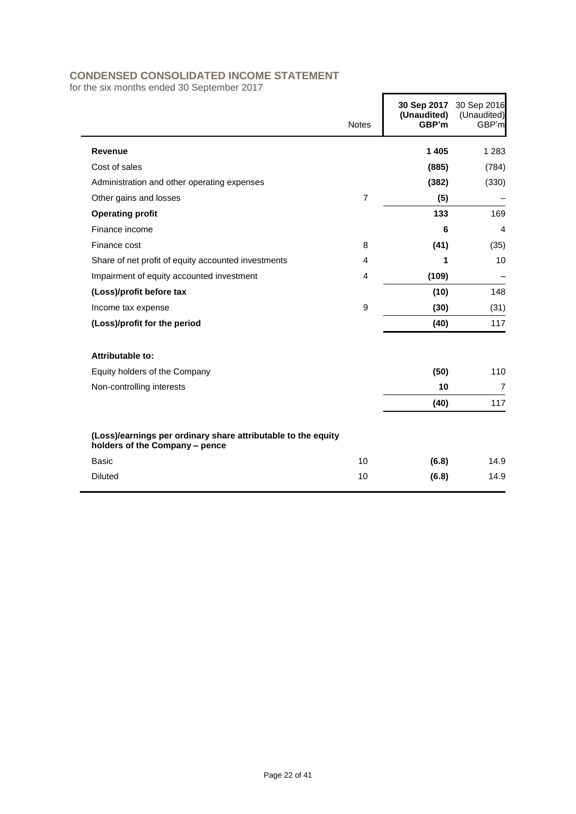# **CONDENSED CONSOLIDATED INCOME STATEMENT**

for the six months ended 30 September 2017

|                                                                                                 | <b>Notes</b>   | 30 Sep 2017 30 Sep 2016<br>(Unaudited)<br>GBP'm | (Unaudited)<br>GBP'm |
|-------------------------------------------------------------------------------------------------|----------------|-------------------------------------------------|----------------------|
| <b>Revenue</b>                                                                                  |                | 1 4 0 5                                         | 1 2 8 3              |
| Cost of sales                                                                                   |                | (885)                                           | (784)                |
| Administration and other operating expenses                                                     |                | (382)                                           | (330)                |
| Other gains and losses                                                                          | $\overline{7}$ | (5)                                             |                      |
| <b>Operating profit</b>                                                                         |                | 133                                             | 169                  |
| Finance income                                                                                  |                | 6                                               | 4                    |
| Finance cost                                                                                    | 8              | (41)                                            | (35)                 |
| Share of net profit of equity accounted investments                                             | 4              | 1                                               | 10                   |
| Impairment of equity accounted investment                                                       | 4              | (109)                                           |                      |
| (Loss)/profit before tax                                                                        |                | (10)                                            | 148                  |
| Income tax expense                                                                              | 9              | (30)                                            | (31)                 |
| (Loss)/profit for the period                                                                    |                | (40)                                            | 117                  |
| Attributable to:                                                                                |                |                                                 |                      |
| Equity holders of the Company                                                                   |                | (50)                                            | 110                  |
| Non-controlling interests                                                                       |                | 10                                              | 7                    |
|                                                                                                 |                | (40)                                            | 117                  |
| (Loss)/earnings per ordinary share attributable to the equity<br>holders of the Company - pence |                |                                                 |                      |
| Basic                                                                                           | 10             | (6.8)                                           | 14.9                 |
| <b>Diluted</b>                                                                                  | 10             | (6.8)                                           | 14.9                 |
|                                                                                                 |                |                                                 |                      |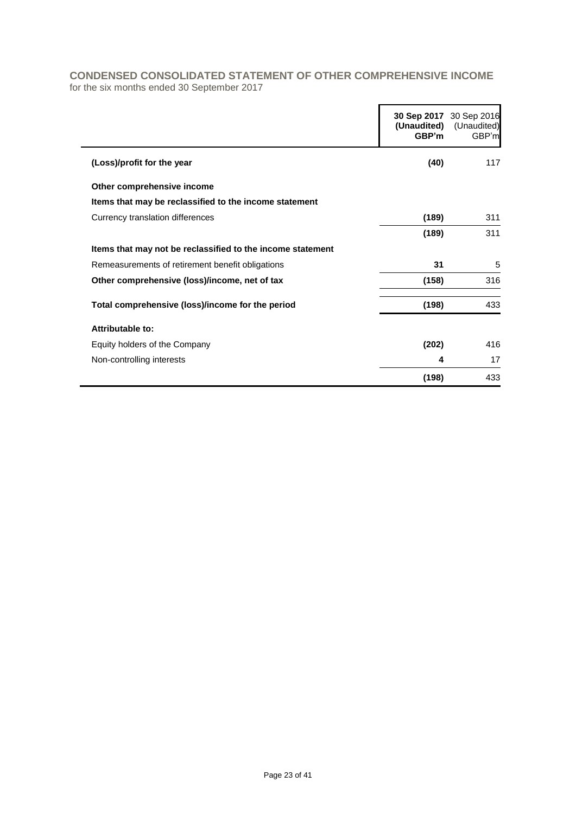# **CONDENSED CONSOLIDATED STATEMENT OF OTHER COMPREHENSIVE INCOME** for the six months ended 30 September 2017

|                                                            | (Unaudited)<br>GBP'm | 30 Sep 2017 30 Sep 2016<br>(Unaudited)<br>GBP'm |
|------------------------------------------------------------|----------------------|-------------------------------------------------|
| (Loss)/profit for the year                                 | (40)                 | 117                                             |
| Other comprehensive income                                 |                      |                                                 |
| Items that may be reclassified to the income statement     |                      |                                                 |
| Currency translation differences                           | (189)                | 311                                             |
|                                                            | (189)                | 311                                             |
| Items that may not be reclassified to the income statement |                      |                                                 |
| Remeasurements of retirement benefit obligations           | 31                   | 5                                               |
| Other comprehensive (loss)/income, net of tax              | (158)                | 316                                             |
| Total comprehensive (loss)/income for the period           | (198)                | 433                                             |
| Attributable to:                                           |                      |                                                 |
| Equity holders of the Company                              | (202)                | 416                                             |
| Non-controlling interests                                  | 4                    | 17                                              |
|                                                            | (198)                | 433                                             |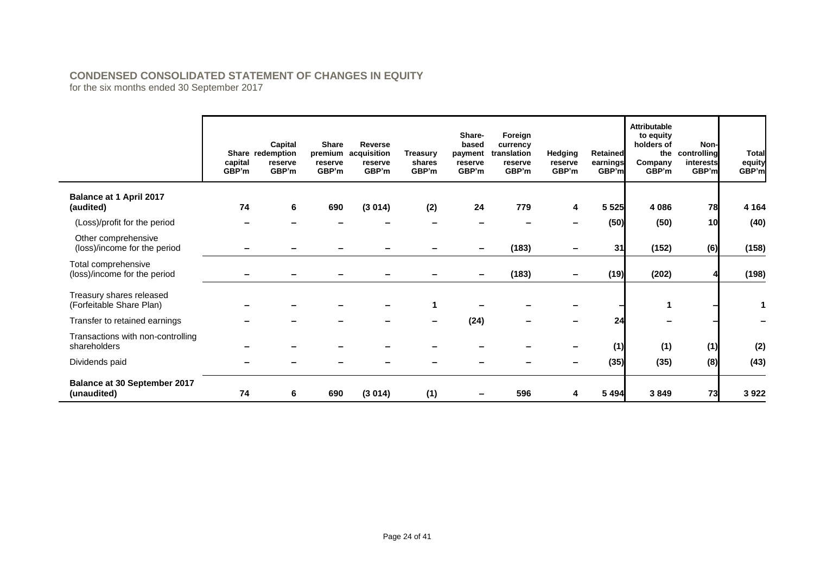# **CONDENSED CONSOLIDATED STATEMENT OF CHANGES IN EQUITY** for the six months ended 30 September 2017

|                                                      | capital<br>GBP'm | Capital<br>Share redemption<br>reserve<br>GBP'm | <b>Share</b><br>reserve<br>GBP'm | <b>Reverse</b><br>premium acquisition<br>reserve<br>GBP'm | <b>Treasury</b><br>shares<br>GBP'm | Share-<br>based<br>payment<br>reserve<br>GBP'm | Foreign<br>currency<br>translation<br>reserve<br>GBP'm | Hedging<br>reserve<br>GBP'm | Retained<br>earnings<br>GBP'ml | <b>Attributable</b><br>to equity<br>holders of<br>the<br>Company<br>GBP'm | Non-<br>controlling<br>interests<br>GBP'm | <b>Total</b><br>equity<br>GBP'm |
|------------------------------------------------------|------------------|-------------------------------------------------|----------------------------------|-----------------------------------------------------------|------------------------------------|------------------------------------------------|--------------------------------------------------------|-----------------------------|--------------------------------|---------------------------------------------------------------------------|-------------------------------------------|---------------------------------|
| <b>Balance at 1 April 2017</b><br>(audited)          | 74               | 6                                               | 690                              | (3014)                                                    | (2)                                | 24                                             | 779                                                    | 4                           | 5 5 2 5                        | 4 0 8 6                                                                   | 78                                        | 4 1 6 4                         |
| (Loss)/profit for the period                         |                  |                                                 |                                  |                                                           |                                    |                                                |                                                        |                             | (50)                           | (50)                                                                      | 10                                        | (40)                            |
| Other comprehensive<br>(loss)/income for the period  |                  |                                                 |                                  |                                                           |                                    |                                                | (183)                                                  |                             | 31                             | (152)                                                                     | (6)                                       | (158)                           |
| Total comprehensive<br>(loss)/income for the period  |                  |                                                 |                                  |                                                           |                                    |                                                | (183)                                                  |                             | (19)                           | (202)                                                                     |                                           | (198)                           |
| Treasury shares released<br>(Forfeitable Share Plan) |                  |                                                 |                                  |                                                           |                                    |                                                |                                                        |                             |                                | 1                                                                         |                                           | 1                               |
| Transfer to retained earnings                        |                  |                                                 |                                  |                                                           |                                    | (24)                                           |                                                        |                             | 24                             |                                                                           |                                           | —                               |
| Transactions with non-controlling<br>shareholders    |                  |                                                 |                                  |                                                           |                                    |                                                |                                                        |                             | (1)                            | (1)                                                                       | (1)                                       | (2)                             |
| Dividends paid                                       |                  |                                                 |                                  |                                                           |                                    |                                                |                                                        |                             | (35)                           | (35)                                                                      | (8)                                       | (43)                            |
| <b>Balance at 30 September 2017</b><br>(unaudited)   | 74               | 6                                               | 690                              | (3014)                                                    | (1)                                |                                                | 596                                                    | 4                           | 5494                           | 3849                                                                      | 73                                        | 3922                            |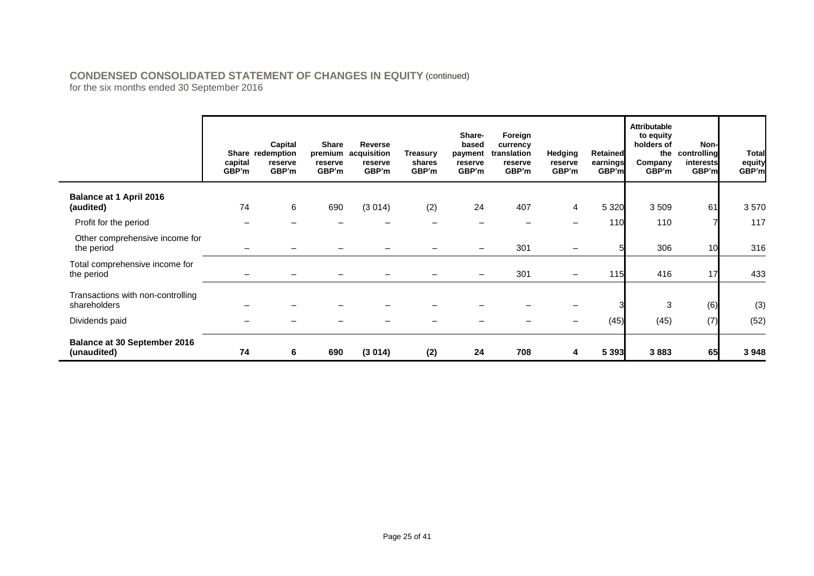## **CONDENSED CONSOLIDATED STATEMENT OF CHANGES IN EQUITY** (continued) for the six months ended 30 September 2016

|                                                    | capital<br>GBP'm | Capital<br>Share redemption<br>reserve<br>GBP'm | <b>Share</b><br>reserve<br>GBP'm | Reverse<br>premium acquisition<br>reserve<br>GBP'm | <b>Treasury</b><br>shares<br>GBP'm | Share-<br>based<br>payment<br>reserve<br>GBP'm | Foreign<br>currency<br>translation<br>reserve<br>GBP'm | <b>Hedging</b><br>reserve<br>GBP'm | Retained<br>earnings<br>GBP'm | <b>Attributable</b><br>to equity<br>holders of<br>the<br>Company<br>GBP'm | Non-<br>controlling<br>interests<br>GBP'm | <b>Total</b><br>equity<br>GBP'm |
|----------------------------------------------------|------------------|-------------------------------------------------|----------------------------------|----------------------------------------------------|------------------------------------|------------------------------------------------|--------------------------------------------------------|------------------------------------|-------------------------------|---------------------------------------------------------------------------|-------------------------------------------|---------------------------------|
| <b>Balance at 1 April 2016</b><br>(audited)        | 74               | 6                                               | 690                              | (3014)                                             | (2)                                | 24                                             | 407                                                    | 4                                  | 5 3 2 0                       | 3509                                                                      | 61                                        | 3570                            |
| Profit for the period                              |                  |                                                 |                                  |                                                    |                                    |                                                |                                                        |                                    | 110                           | 110                                                                       |                                           | 117                             |
| Other comprehensive income for<br>the period       |                  |                                                 |                                  |                                                    |                                    |                                                | 301                                                    |                                    | 5                             | 306                                                                       | 10                                        | 316                             |
| Total comprehensive income for<br>the period       |                  |                                                 |                                  |                                                    |                                    |                                                | 301                                                    |                                    | 115                           | 416                                                                       | 17                                        | 433                             |
| Transactions with non-controlling<br>shareholders  |                  |                                                 |                                  |                                                    |                                    |                                                |                                                        |                                    |                               | 3                                                                         | (6)                                       | (3)                             |
| Dividends paid                                     |                  |                                                 |                                  |                                                    |                                    |                                                |                                                        |                                    | (45)                          | (45)                                                                      | (7)                                       | (52)                            |
| <b>Balance at 30 September 2016</b><br>(unaudited) | 74               | 6                                               | 690                              | (3014)                                             | (2)                                | 24                                             | 708                                                    | 4                                  | 5 3 9 3                       | 3883                                                                      | 65                                        | 3948                            |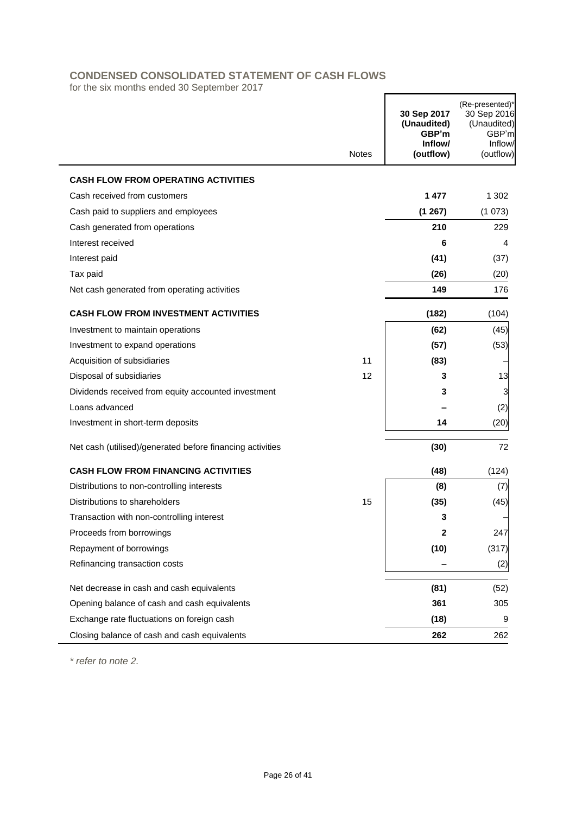# **CONDENSED CONSOLIDATED STATEMENT OF CASH FLOWS**

for the six months ended 30 September 2017

|                                                           | <b>Notes</b> | 30 Sep 2017<br>(Unaudited)<br>GBP'm<br>Inflow/<br>(outflow) | (Re-presented)*<br>30 Sep 2016<br>(Unaudited)<br>GBP'm<br>Inflow/<br>(outflow) |
|-----------------------------------------------------------|--------------|-------------------------------------------------------------|--------------------------------------------------------------------------------|
| <b>CASH FLOW FROM OPERATING ACTIVITIES</b>                |              |                                                             |                                                                                |
| Cash received from customers                              |              | 1477                                                        | 1 302                                                                          |
| Cash paid to suppliers and employees                      |              | (1267)                                                      | (1073)                                                                         |
| Cash generated from operations                            |              | 210                                                         | 229                                                                            |
| Interest received                                         |              | 6                                                           | 4                                                                              |
| Interest paid                                             |              | (41)                                                        | (37)                                                                           |
| Tax paid                                                  |              | (26)                                                        | (20)                                                                           |
| Net cash generated from operating activities              |              | 149                                                         | 176                                                                            |
| <b>CASH FLOW FROM INVESTMENT ACTIVITIES</b>               |              | (182)                                                       | (104)                                                                          |
| Investment to maintain operations                         |              | (62)                                                        | (45)                                                                           |
| Investment to expand operations                           |              | (57)                                                        | (53)                                                                           |
| Acquisition of subsidiaries                               | 11           | (83)                                                        |                                                                                |
| Disposal of subsidiaries                                  | 12           | 3                                                           | 13                                                                             |
| Dividends received from equity accounted investment       |              | 3                                                           | 3                                                                              |
| Loans advanced                                            |              |                                                             | (2)                                                                            |
| Investment in short-term deposits                         |              | 14                                                          | (20)                                                                           |
| Net cash (utilised)/generated before financing activities |              | (30)                                                        | 72                                                                             |
| <b>CASH FLOW FROM FINANCING ACTIVITIES</b>                |              | (48)                                                        | (124)                                                                          |
| Distributions to non-controlling interests                |              | (8)                                                         | (7)                                                                            |
| Distributions to shareholders                             | 15           | (35)                                                        | (45)                                                                           |
| Transaction with non-controlling interest                 |              | 3                                                           |                                                                                |
| Proceeds from borrowings                                  |              | 2                                                           | 247                                                                            |
| Repayment of borrowings                                   |              | (10)                                                        | (317)                                                                          |
| Refinancing transaction costs                             |              |                                                             | (2)                                                                            |
| Net decrease in cash and cash equivalents                 |              | (81)                                                        | (52)                                                                           |
| Opening balance of cash and cash equivalents              |              | 361                                                         | 305                                                                            |
| Exchange rate fluctuations on foreign cash                |              | (18)                                                        | 9                                                                              |
| Closing balance of cash and cash equivalents              |              | 262                                                         | 262                                                                            |

*\* refer to note 2.*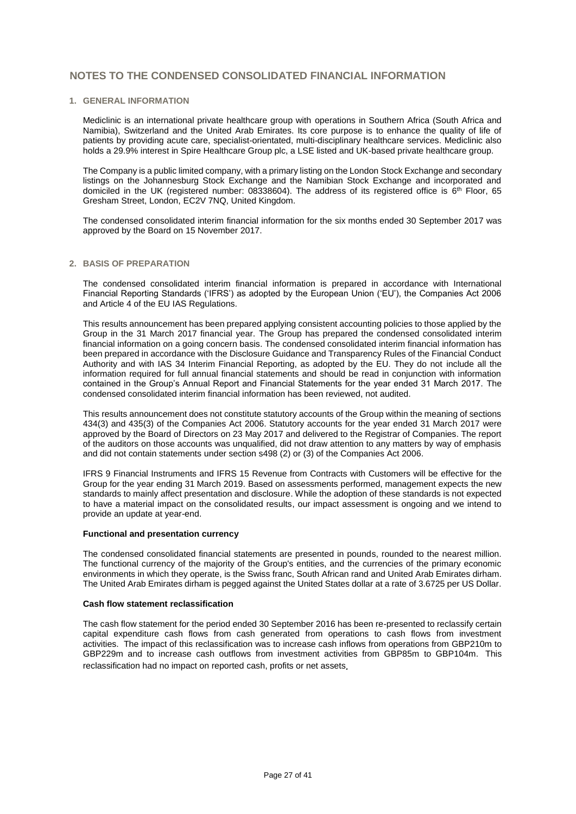#### **1. GENERAL INFORMATION**

Mediclinic is an international private healthcare group with operations in Southern Africa (South Africa and Namibia), Switzerland and the United Arab Emirates. Its core purpose is to enhance the quality of life of patients by providing acute care, specialist-orientated, multi-disciplinary healthcare services. Mediclinic also holds a 29.9% interest in Spire Healthcare Group plc, a LSE listed and UK-based private healthcare group.

The Company is a public limited company, with a primary listing on the London Stock Exchange and secondary listings on the Johannesburg Stock Exchange and the Namibian Stock Exchange and incorporated and domiciled in the UK (registered number: 08338604). The address of its registered office is 6<sup>th</sup> Floor, 65 Gresham Street, London, EC2V 7NQ, United Kingdom.

The condensed consolidated interim financial information for the six months ended 30 September 2017 was approved by the Board on 15 November 2017.

#### **2. BASIS OF PREPARATION**

The condensed consolidated interim financial information is prepared in accordance with International Financial Reporting Standards ('IFRS') as adopted by the European Union ('EU'), the Companies Act 2006 and Article 4 of the EU IAS Regulations.

This results announcement has been prepared applying consistent accounting policies to those applied by the Group in the 31 March 2017 financial year. The Group has prepared the condensed consolidated interim financial information on a going concern basis. The condensed consolidated interim financial information has been prepared in accordance with the Disclosure Guidance and Transparency Rules of the Financial Conduct Authority and with IAS 34 Interim Financial Reporting, as adopted by the EU. They do not include all the information required for full annual financial statements and should be read in conjunction with information contained in the Group's Annual Report and Financial Statements for the year ended 31 March 2017. The condensed consolidated interim financial information has been reviewed, not audited.

This results announcement does not constitute statutory accounts of the Group within the meaning of sections 434(3) and 435(3) of the Companies Act 2006. Statutory accounts for the year ended 31 March 2017 were approved by the Board of Directors on 23 May 2017 and delivered to the Registrar of Companies. The report of the auditors on those accounts was unqualified, did not draw attention to any matters by way of emphasis and did not contain statements under section s498 (2) or (3) of the Companies Act 2006.

IFRS 9 Financial Instruments and IFRS 15 Revenue from Contracts with Customers will be effective for the Group for the year ending 31 March 2019. Based on assessments performed, management expects the new standards to mainly affect presentation and disclosure. While the adoption of these standards is not expected to have a material impact on the consolidated results, our impact assessment is ongoing and we intend to provide an update at year-end.

#### **Functional and presentation currency**

The condensed consolidated financial statements are presented in pounds, rounded to the nearest million. The functional currency of the majority of the Group's entities, and the currencies of the primary economic environments in which they operate, is the Swiss franc, South African rand and United Arab Emirates dirham. The United Arab Emirates dirham is pegged against the United States dollar at a rate of 3.6725 per US Dollar.

#### **Cash flow statement reclassification**

The cash flow statement for the period ended 30 September 2016 has been re-presented to reclassify certain capital expenditure cash flows from cash generated from operations to cash flows from investment activities. The impact of this reclassification was to increase cash inflows from operations from GBP210m to GBP229m and to increase cash outflows from investment activities from GBP85m to GBP104m. This reclassification had no impact on reported cash, profits or net assets*.*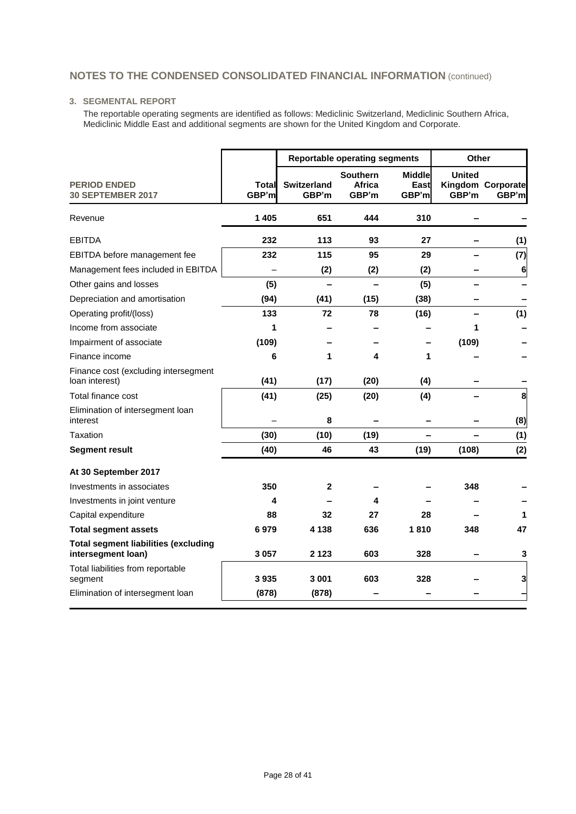#### **3. SEGMENTAL REPORT**

The reportable operating segments are identified as follows: Mediclinic Switzerland, Mediclinic Southern Africa, Mediclinic Middle East and additional segments are shown for the United Kingdom and Corporate.

| <b>United</b><br><b>Southern</b><br><b>Middle</b><br><b>Switzerland</b><br>Africa<br>Kingdom Corporate<br><b>PERIOD ENDED</b><br>Total<br>East<br>GBP'm<br><b>30 SEPTEMBER 2017</b><br>GBP'm<br>GBP'm<br>GBP'm<br>GBP'm<br>1 4 0 5<br>651<br>444<br>310<br>Revenue<br>232<br>113<br>93<br>27<br>95<br>232<br>115<br>29<br>EBITDA before management fee<br>Management fees included in EBITDA<br>(2)<br>(2)<br>(2)<br>Other gains and losses<br>(5)<br>(5)<br>-<br>Depreciation and amortisation<br>(94)<br>(41)<br>(15)<br>(38)<br>133<br>Operating profit/(loss)<br>72<br>78<br>(16)<br>Income from associate<br>1<br>1<br>(109)<br>(109)<br>Impairment of associate<br>Finance income<br>6<br>1<br>4<br>1<br>Finance cost (excluding intersegment<br>loan interest)<br>(41)<br>(17)<br>(20)<br>(4)<br>Total finance cost<br>(41)<br>(25)<br>(20)<br>(4)<br>Elimination of intersegment loan<br>8<br>interest<br>(10)<br>Taxation<br>(30)<br>(19)<br>(40)<br>46<br>43<br><b>Segment result</b><br>(19)<br>(108)<br>Investments in associates<br>350<br>$\mathbf{2}$<br>348<br>Investments in joint venture<br>4<br>4<br>Capital expenditure<br>88<br>32<br>27<br>28<br><b>Total segment assets</b><br>636<br>1810<br>6979<br>4 1 3 8<br>348<br><b>Total segment liabilities (excluding</b><br>3 0 5 7<br>2 1 2 3<br>603<br>328<br>Total liabilities from reportable<br>3935<br>3 0 0 1<br>603<br>328<br>segment<br>(878)<br>Elimination of intersegment loan<br>(878) |                      | <b>Reportable operating segments</b> |  | <b>Other</b> |       |
|------------------------------------------------------------------------------------------------------------------------------------------------------------------------------------------------------------------------------------------------------------------------------------------------------------------------------------------------------------------------------------------------------------------------------------------------------------------------------------------------------------------------------------------------------------------------------------------------------------------------------------------------------------------------------------------------------------------------------------------------------------------------------------------------------------------------------------------------------------------------------------------------------------------------------------------------------------------------------------------------------------------------------------------------------------------------------------------------------------------------------------------------------------------------------------------------------------------------------------------------------------------------------------------------------------------------------------------------------------------------------------------------------------------------------------------------------------------------|----------------------|--------------------------------------|--|--------------|-------|
|                                                                                                                                                                                                                                                                                                                                                                                                                                                                                                                                                                                                                                                                                                                                                                                                                                                                                                                                                                                                                                                                                                                                                                                                                                                                                                                                                                                                                                                                        |                      |                                      |  |              | GBP'm |
|                                                                                                                                                                                                                                                                                                                                                                                                                                                                                                                                                                                                                                                                                                                                                                                                                                                                                                                                                                                                                                                                                                                                                                                                                                                                                                                                                                                                                                                                        |                      |                                      |  |              |       |
|                                                                                                                                                                                                                                                                                                                                                                                                                                                                                                                                                                                                                                                                                                                                                                                                                                                                                                                                                                                                                                                                                                                                                                                                                                                                                                                                                                                                                                                                        | <b>EBITDA</b>        |                                      |  |              | (1)   |
|                                                                                                                                                                                                                                                                                                                                                                                                                                                                                                                                                                                                                                                                                                                                                                                                                                                                                                                                                                                                                                                                                                                                                                                                                                                                                                                                                                                                                                                                        |                      |                                      |  |              | (7)   |
|                                                                                                                                                                                                                                                                                                                                                                                                                                                                                                                                                                                                                                                                                                                                                                                                                                                                                                                                                                                                                                                                                                                                                                                                                                                                                                                                                                                                                                                                        |                      |                                      |  |              | 6     |
|                                                                                                                                                                                                                                                                                                                                                                                                                                                                                                                                                                                                                                                                                                                                                                                                                                                                                                                                                                                                                                                                                                                                                                                                                                                                                                                                                                                                                                                                        |                      |                                      |  |              |       |
|                                                                                                                                                                                                                                                                                                                                                                                                                                                                                                                                                                                                                                                                                                                                                                                                                                                                                                                                                                                                                                                                                                                                                                                                                                                                                                                                                                                                                                                                        |                      |                                      |  |              |       |
|                                                                                                                                                                                                                                                                                                                                                                                                                                                                                                                                                                                                                                                                                                                                                                                                                                                                                                                                                                                                                                                                                                                                                                                                                                                                                                                                                                                                                                                                        |                      |                                      |  |              | (1)   |
|                                                                                                                                                                                                                                                                                                                                                                                                                                                                                                                                                                                                                                                                                                                                                                                                                                                                                                                                                                                                                                                                                                                                                                                                                                                                                                                                                                                                                                                                        |                      |                                      |  |              |       |
|                                                                                                                                                                                                                                                                                                                                                                                                                                                                                                                                                                                                                                                                                                                                                                                                                                                                                                                                                                                                                                                                                                                                                                                                                                                                                                                                                                                                                                                                        |                      |                                      |  |              |       |
|                                                                                                                                                                                                                                                                                                                                                                                                                                                                                                                                                                                                                                                                                                                                                                                                                                                                                                                                                                                                                                                                                                                                                                                                                                                                                                                                                                                                                                                                        |                      |                                      |  |              |       |
|                                                                                                                                                                                                                                                                                                                                                                                                                                                                                                                                                                                                                                                                                                                                                                                                                                                                                                                                                                                                                                                                                                                                                                                                                                                                                                                                                                                                                                                                        |                      |                                      |  |              |       |
|                                                                                                                                                                                                                                                                                                                                                                                                                                                                                                                                                                                                                                                                                                                                                                                                                                                                                                                                                                                                                                                                                                                                                                                                                                                                                                                                                                                                                                                                        |                      |                                      |  |              | 8     |
|                                                                                                                                                                                                                                                                                                                                                                                                                                                                                                                                                                                                                                                                                                                                                                                                                                                                                                                                                                                                                                                                                                                                                                                                                                                                                                                                                                                                                                                                        |                      |                                      |  |              | (8)   |
|                                                                                                                                                                                                                                                                                                                                                                                                                                                                                                                                                                                                                                                                                                                                                                                                                                                                                                                                                                                                                                                                                                                                                                                                                                                                                                                                                                                                                                                                        |                      |                                      |  |              | (1)   |
|                                                                                                                                                                                                                                                                                                                                                                                                                                                                                                                                                                                                                                                                                                                                                                                                                                                                                                                                                                                                                                                                                                                                                                                                                                                                                                                                                                                                                                                                        |                      |                                      |  |              | (2)   |
|                                                                                                                                                                                                                                                                                                                                                                                                                                                                                                                                                                                                                                                                                                                                                                                                                                                                                                                                                                                                                                                                                                                                                                                                                                                                                                                                                                                                                                                                        | At 30 September 2017 |                                      |  |              |       |
|                                                                                                                                                                                                                                                                                                                                                                                                                                                                                                                                                                                                                                                                                                                                                                                                                                                                                                                                                                                                                                                                                                                                                                                                                                                                                                                                                                                                                                                                        |                      |                                      |  |              |       |
|                                                                                                                                                                                                                                                                                                                                                                                                                                                                                                                                                                                                                                                                                                                                                                                                                                                                                                                                                                                                                                                                                                                                                                                                                                                                                                                                                                                                                                                                        |                      |                                      |  |              |       |
|                                                                                                                                                                                                                                                                                                                                                                                                                                                                                                                                                                                                                                                                                                                                                                                                                                                                                                                                                                                                                                                                                                                                                                                                                                                                                                                                                                                                                                                                        |                      |                                      |  |              | 1     |
|                                                                                                                                                                                                                                                                                                                                                                                                                                                                                                                                                                                                                                                                                                                                                                                                                                                                                                                                                                                                                                                                                                                                                                                                                                                                                                                                                                                                                                                                        |                      |                                      |  |              | 47    |
|                                                                                                                                                                                                                                                                                                                                                                                                                                                                                                                                                                                                                                                                                                                                                                                                                                                                                                                                                                                                                                                                                                                                                                                                                                                                                                                                                                                                                                                                        | intersegment loan)   |                                      |  |              | 3     |
|                                                                                                                                                                                                                                                                                                                                                                                                                                                                                                                                                                                                                                                                                                                                                                                                                                                                                                                                                                                                                                                                                                                                                                                                                                                                                                                                                                                                                                                                        |                      |                                      |  |              | 3     |
|                                                                                                                                                                                                                                                                                                                                                                                                                                                                                                                                                                                                                                                                                                                                                                                                                                                                                                                                                                                                                                                                                                                                                                                                                                                                                                                                                                                                                                                                        |                      |                                      |  |              |       |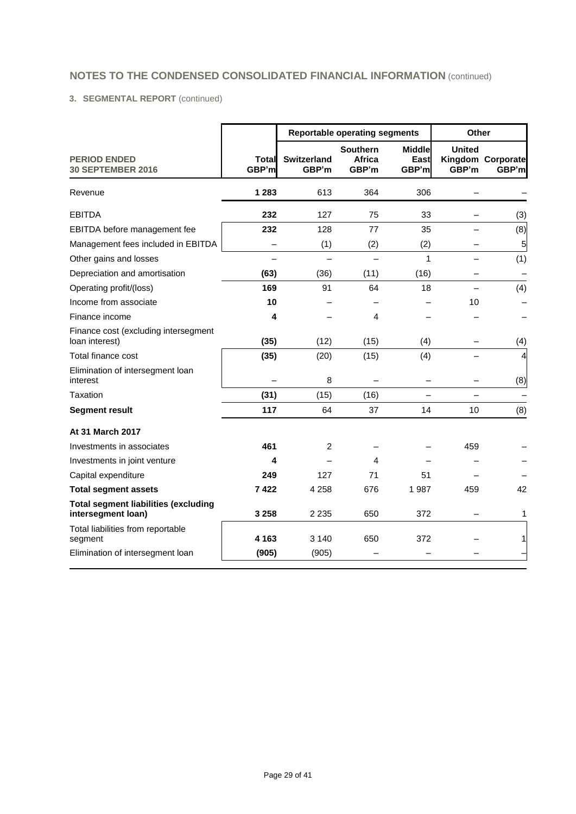# **3. SEGMENTAL REPORT** (continued)

| <b>Middle</b><br><b>United</b><br><b>Southern</b><br><b>Switzerland</b><br><b>Africa</b><br><b>PERIOD ENDED</b><br><b>Total</b><br>East<br>Kingdom Corporate<br>GBP'm<br>GBP'm<br>GBP'm<br>GBP'm<br>GBP'm<br><b>30 SEPTEMBER 2016</b><br>1 2 8 3<br>613<br>364<br>306<br>Revenue<br><b>EBITDA</b><br>232<br>127<br>75<br>33<br>232<br>128<br>77<br>35<br>EBITDA before management fee<br>(2)<br>(1)<br>(2)<br>Management fees included in EBITDA<br>Other gains and losses<br>1<br>Depreciation and amortisation<br>(63)<br>(36)<br>(11)<br>(16)<br>Operating profit/(loss)<br>169<br>91<br>64<br>18<br>Income from associate<br>10<br>10<br>Finance income<br>4<br>4<br>Finance cost (excluding intersegment<br>loan interest)<br>(35)<br>(12)<br>(15)<br>(4)<br>(35)<br>(15)<br>(4)<br>Total finance cost<br>(20)<br>Elimination of intersegment loan<br>8<br>interest<br>Taxation<br>(31)<br>(15)<br>(16)<br>117<br>64<br>37<br>10<br><b>Segment result</b><br>14<br>$\overline{2}$<br>Investments in associates<br>461<br>459<br>Investments in joint venture<br>4<br>4 |                |
|-----------------------------------------------------------------------------------------------------------------------------------------------------------------------------------------------------------------------------------------------------------------------------------------------------------------------------------------------------------------------------------------------------------------------------------------------------------------------------------------------------------------------------------------------------------------------------------------------------------------------------------------------------------------------------------------------------------------------------------------------------------------------------------------------------------------------------------------------------------------------------------------------------------------------------------------------------------------------------------------------------------------------------------------------------------------------------|----------------|
| At 31 March 2017                                                                                                                                                                                                                                                                                                                                                                                                                                                                                                                                                                                                                                                                                                                                                                                                                                                                                                                                                                                                                                                            | GBP'm          |
|                                                                                                                                                                                                                                                                                                                                                                                                                                                                                                                                                                                                                                                                                                                                                                                                                                                                                                                                                                                                                                                                             |                |
|                                                                                                                                                                                                                                                                                                                                                                                                                                                                                                                                                                                                                                                                                                                                                                                                                                                                                                                                                                                                                                                                             | (3)            |
|                                                                                                                                                                                                                                                                                                                                                                                                                                                                                                                                                                                                                                                                                                                                                                                                                                                                                                                                                                                                                                                                             | (8)            |
|                                                                                                                                                                                                                                                                                                                                                                                                                                                                                                                                                                                                                                                                                                                                                                                                                                                                                                                                                                                                                                                                             | 5              |
|                                                                                                                                                                                                                                                                                                                                                                                                                                                                                                                                                                                                                                                                                                                                                                                                                                                                                                                                                                                                                                                                             | (1)            |
|                                                                                                                                                                                                                                                                                                                                                                                                                                                                                                                                                                                                                                                                                                                                                                                                                                                                                                                                                                                                                                                                             |                |
|                                                                                                                                                                                                                                                                                                                                                                                                                                                                                                                                                                                                                                                                                                                                                                                                                                                                                                                                                                                                                                                                             | (4)            |
|                                                                                                                                                                                                                                                                                                                                                                                                                                                                                                                                                                                                                                                                                                                                                                                                                                                                                                                                                                                                                                                                             |                |
|                                                                                                                                                                                                                                                                                                                                                                                                                                                                                                                                                                                                                                                                                                                                                                                                                                                                                                                                                                                                                                                                             |                |
|                                                                                                                                                                                                                                                                                                                                                                                                                                                                                                                                                                                                                                                                                                                                                                                                                                                                                                                                                                                                                                                                             | (4)            |
|                                                                                                                                                                                                                                                                                                                                                                                                                                                                                                                                                                                                                                                                                                                                                                                                                                                                                                                                                                                                                                                                             | $\overline{4}$ |
|                                                                                                                                                                                                                                                                                                                                                                                                                                                                                                                                                                                                                                                                                                                                                                                                                                                                                                                                                                                                                                                                             | (8)            |
|                                                                                                                                                                                                                                                                                                                                                                                                                                                                                                                                                                                                                                                                                                                                                                                                                                                                                                                                                                                                                                                                             |                |
|                                                                                                                                                                                                                                                                                                                                                                                                                                                                                                                                                                                                                                                                                                                                                                                                                                                                                                                                                                                                                                                                             | (8)            |
|                                                                                                                                                                                                                                                                                                                                                                                                                                                                                                                                                                                                                                                                                                                                                                                                                                                                                                                                                                                                                                                                             |                |
|                                                                                                                                                                                                                                                                                                                                                                                                                                                                                                                                                                                                                                                                                                                                                                                                                                                                                                                                                                                                                                                                             |                |
|                                                                                                                                                                                                                                                                                                                                                                                                                                                                                                                                                                                                                                                                                                                                                                                                                                                                                                                                                                                                                                                                             |                |
| Capital expenditure<br>249<br>127<br>71<br>51                                                                                                                                                                                                                                                                                                                                                                                                                                                                                                                                                                                                                                                                                                                                                                                                                                                                                                                                                                                                                               |                |
| <b>Total segment assets</b><br>7422<br>4 2 5 8<br>1987<br>459<br>676                                                                                                                                                                                                                                                                                                                                                                                                                                                                                                                                                                                                                                                                                                                                                                                                                                                                                                                                                                                                        | 42             |
| <b>Total segment liabilities (excluding</b><br>intersegment loan)<br>3 2 5 8<br>2 2 3 5<br>372<br>650                                                                                                                                                                                                                                                                                                                                                                                                                                                                                                                                                                                                                                                                                                                                                                                                                                                                                                                                                                       | 1              |
| Total liabilities from reportable<br>650<br>372<br>4 163<br>3 1 4 0<br>segment                                                                                                                                                                                                                                                                                                                                                                                                                                                                                                                                                                                                                                                                                                                                                                                                                                                                                                                                                                                              | 1              |
| (905)<br>(905)<br>Elimination of intersegment loan                                                                                                                                                                                                                                                                                                                                                                                                                                                                                                                                                                                                                                                                                                                                                                                                                                                                                                                                                                                                                          |                |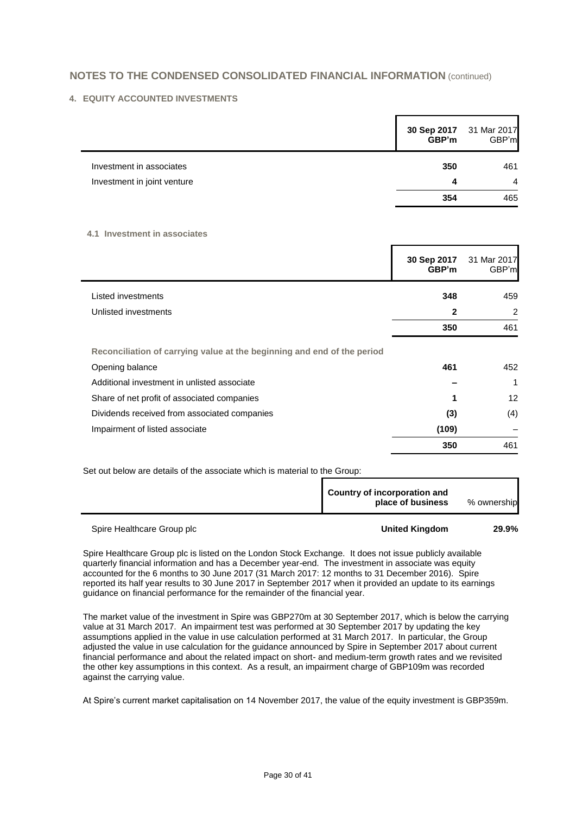#### **4. EQUITY ACCOUNTED INVESTMENTS**

|                             | 30 Sep 2017 31 Mar 2017<br>GBP'm | GBP'm          |
|-----------------------------|----------------------------------|----------------|
| Investment in associates    | 350                              | 461            |
| Investment in joint venture | 4                                | $\overline{4}$ |
|                             | 354                              | 465            |

#### **4.1 Investment in associates**

|                                                                         | 30 Sep 2017<br>GBP'm | 31 Mar 2017<br>GBP'm |
|-------------------------------------------------------------------------|----------------------|----------------------|
| Listed investments                                                      | 348                  | 459                  |
| Unlisted investments                                                    | 2                    | 2                    |
|                                                                         | 350                  | 461                  |
| Reconciliation of carrying value at the beginning and end of the period |                      |                      |
| Opening balance                                                         | 461                  | 452                  |
| Additional investment in unlisted associate                             |                      | 1                    |
| Share of net profit of associated companies                             |                      | 12                   |
| Dividends received from associated companies                            | (3)                  | (4)                  |
| Impairment of listed associate                                          | (109)                |                      |
|                                                                         | 350                  | 461                  |

Set out below are details of the associate which is material to the Group:

| Country of incorporation and<br>place of business | % ownership |
|---------------------------------------------------|-------------|
|                                                   |             |

Spire Healthcare Group plc **United Kingdom 29.9%**

Spire Healthcare Group plc is listed on the London Stock Exchange. It does not issue publicly available quarterly financial information and has a December year-end. The investment in associate was equity accounted for the 6 months to 30 June 2017 (31 March 2017: 12 months to 31 December 2016). Spire reported its half year results to 30 June 2017 in September 2017 when it provided an update to its earnings guidance on financial performance for the remainder of the financial year.

The market value of the investment in Spire was GBP270m at 30 September 2017, which is below the carrying value at 31 March 2017. An impairment test was performed at 30 September 2017 by updating the key assumptions applied in the value in use calculation performed at 31 March 2017. In particular, the Group adjusted the value in use calculation for the guidance announced by Spire in September 2017 about current financial performance and about the related impact on short- and medium-term growth rates and we revisited the other key assumptions in this context. As a result, an impairment charge of GBP109m was recorded against the carrying value.

At Spire's current market capitalisation on 14 November 2017, the value of the equity investment is GBP359m.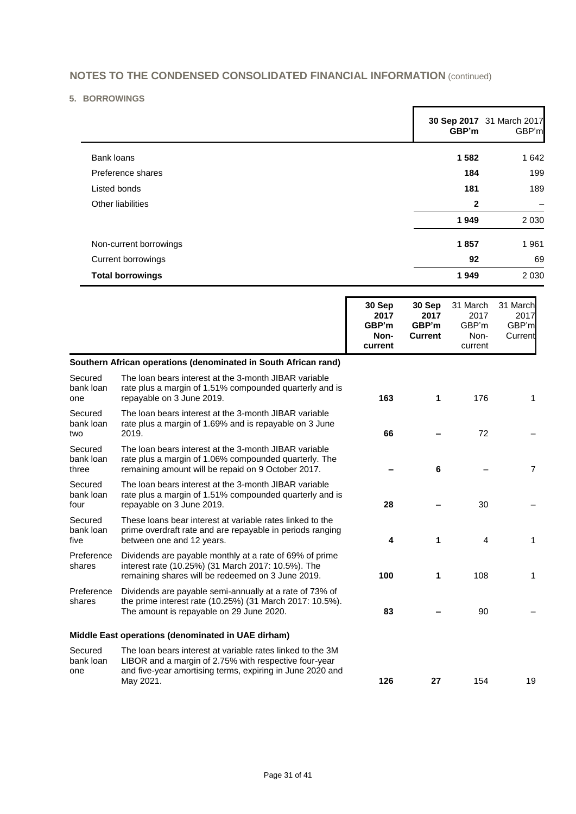**5. BORROWINGS**

|                             |                                                                                                                                               |                                            |                                           | GBP'm                                        | 30 Sep 2017 31 March 2017<br>GBP'm   |
|-----------------------------|-----------------------------------------------------------------------------------------------------------------------------------------------|--------------------------------------------|-------------------------------------------|----------------------------------------------|--------------------------------------|
| <b>Bank loans</b>           |                                                                                                                                               |                                            |                                           | 1582                                         | 1642                                 |
|                             | Preference shares                                                                                                                             |                                            |                                           | 184                                          | 199                                  |
|                             | Listed bonds                                                                                                                                  |                                            |                                           | 181                                          | 189                                  |
|                             | <b>Other liabilities</b>                                                                                                                      |                                            |                                           | $\mathbf{2}$                                 |                                      |
|                             |                                                                                                                                               |                                            |                                           | 1949                                         | 2 0 3 0                              |
|                             | Non-current borrowings                                                                                                                        |                                            |                                           | 1857                                         | 1961                                 |
|                             | <b>Current borrowings</b>                                                                                                                     |                                            |                                           | 92                                           | 69                                   |
|                             | <b>Total borrowings</b>                                                                                                                       |                                            |                                           | 1949                                         | 2 0 3 0                              |
|                             |                                                                                                                                               | 30 Sep<br>2017<br>GBP'm<br>Non-<br>current | 30 Sep<br>2017<br>GBP'm<br><b>Current</b> | 31 March<br>2017<br>GBP'm<br>Non-<br>current | 31 March<br>2017<br>GBP'm<br>Current |
|                             | Southern African operations (denominated in South African rand)                                                                               |                                            |                                           |                                              |                                      |
| Secured<br>bank loan<br>one | The loan bears interest at the 3-month JIBAR variable<br>rate plus a margin of 1.51% compounded quarterly and is<br>repayable on 3 June 2019. | 163                                        | 1                                         | 176                                          | 1                                    |
| Secured<br>bank loan<br>two | The loan bears interest at the 3-month JIBAR variable<br>rate plus a margin of 1.69% and is repayable on 3 June<br>2019.                      | 66                                         |                                           | 72                                           |                                      |
| Secured<br>bank loan        | The loan bears interest at the 3-month JIBAR variable<br>rate plus a margin of 1.06% compounded quarterly. The                                |                                            |                                           |                                              |                                      |

| three                        | <u>and prace a manger or noote composition quanto it in o</u><br>remaining amount will be repaid on 9 October 2017.                                                |     | 6 |     |  |
|------------------------------|--------------------------------------------------------------------------------------------------------------------------------------------------------------------|-----|---|-----|--|
| Secured<br>bank loan<br>four | The loan bears interest at the 3-month JIBAR variable<br>rate plus a margin of 1.51% compounded quarterly and is<br>repayable on 3 June 2019.                      | 28  |   | 30  |  |
| Secured<br>bank loan<br>five | These loans bear interest at variable rates linked to the<br>prime overdraft rate and are repayable in periods ranging<br>between one and 12 years.                | 4   |   | 4   |  |
| Preference<br>shares         | Dividends are payable monthly at a rate of 69% of prime<br>interest rate (10.25%) (31 March 2017: 10.5%). The<br>remaining shares will be redeemed on 3 June 2019. | 100 |   | 108 |  |
| Preference<br>shares         | Dividends are payable semi-annually at a rate of 73% of<br>the prime interest rate (10.25%) (31 March 2017: 10.5%).<br>The amount is repayable on 29 June 2020.    | 83  |   | 90  |  |

# **Middle East operations (denominated in UAE dirham)**

| Secured<br>bank loan | The loan bears interest at variable rates linked to the 3M<br>LIBOR and a margin of 2.75% with respective four-year |     |     |     |    |
|----------------------|---------------------------------------------------------------------------------------------------------------------|-----|-----|-----|----|
| one                  | and five-year amortising terms, expiring in June 2020 and<br>Mav 2021.                                              | 126 | -27 | 154 | 19 |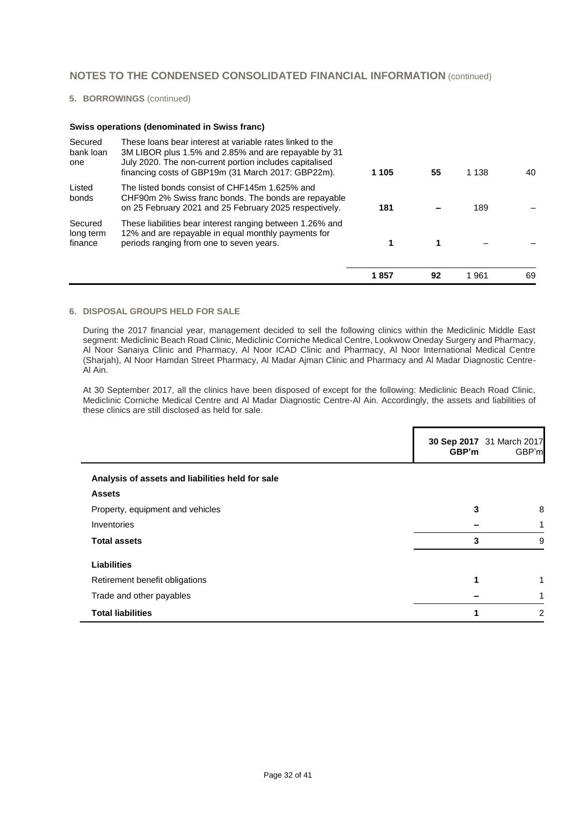#### **5. BORROWINGS** (continued)

#### **Swiss operations (denominated in Swiss franc)**

| Secured<br>bank loan<br>one     | These loans bear interest at variable rates linked to the<br>3M LIBOR plus 1.5% and 2.85% and are repayable by 31<br>July 2020. The non-current portion includes capitalised<br>financing costs of GBP19m (31 March 2017: GBP22m). | 1 1 0 5 | 55 | 1 1 3 8 | 40 |
|---------------------------------|------------------------------------------------------------------------------------------------------------------------------------------------------------------------------------------------------------------------------------|---------|----|---------|----|
| Listed<br>bonds                 | The listed bonds consist of CHF145m 1.625% and<br>CHF90m 2% Swiss franc bonds. The bonds are repayable<br>on 25 February 2021 and 25 February 2025 respectively.                                                                   | 181     |    | 189     |    |
| Secured<br>long term<br>finance | These liabilities bear interest ranging between 1.26% and<br>12% and are repayable in equal monthly payments for<br>periods ranging from one to seven years.                                                                       |         |    |         |    |
|                                 |                                                                                                                                                                                                                                    | 1857    | 92 | 1961    | 69 |

#### **6. DISPOSAL GROUPS HELD FOR SALE**

During the 2017 financial year, management decided to sell the following clinics within the Mediclinic Middle East segment: Mediclinic Beach Road Clinic, Mediclinic Corniche Medical Centre, Lookwow Oneday Surgery and Pharmacy, Al Noor Sanaiya Clinic and Pharmacy, Al Noor ICAD Clinic and Pharmacy, Al Noor International Medical Centre (Sharjah), Al Noor Hamdan Street Pharmacy, Al Madar Ajman Clinic and Pharmacy and Al Madar Diagnostic Centre-Al Ain.

At 30 September 2017, all the clinics have been disposed of except for the following: Mediclinic Beach Road Clinic, Mediclinic Corniche Medical Centre and Al Madar Diagnostic Centre-Al Ain. Accordingly, the assets and liabilities of these clinics are still disclosed as held for sale.

J.

|                                                  | GBP'm | 30 Sep 2017 31 March 2017<br>GBP'm |
|--------------------------------------------------|-------|------------------------------------|
| Analysis of assets and liabilities held for sale |       |                                    |
| <b>Assets</b>                                    |       |                                    |
| Property, equipment and vehicles                 | 3     | 8                                  |
| Inventories                                      |       |                                    |
| <b>Total assets</b>                              | 3     | 9                                  |
| <b>Liabilities</b>                               |       |                                    |
| Retirement benefit obligations                   |       |                                    |
| Trade and other payables                         |       |                                    |
| <b>Total liabilities</b>                         |       | 2                                  |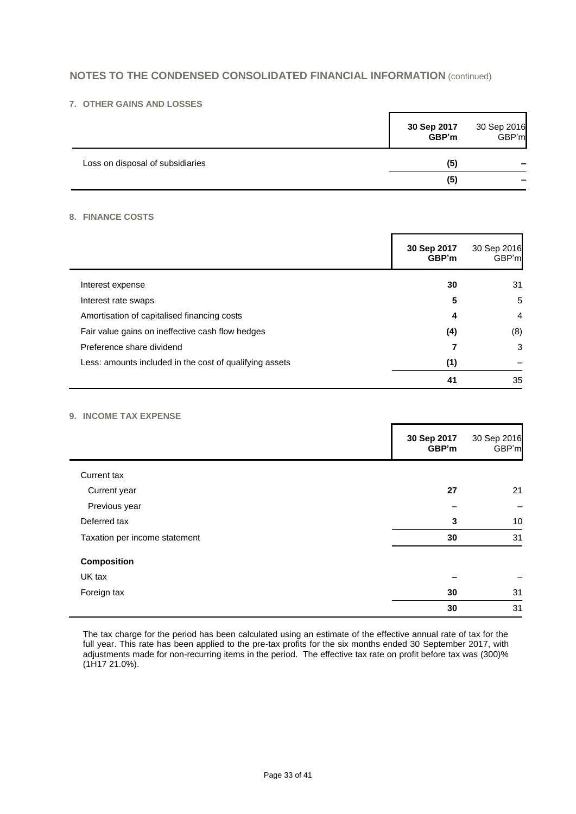#### **7. OTHER GAINS AND LOSSES**

|                                  | 30 Sep 2017<br>GBP'm | 30 Sep 2016<br>GBP'm |
|----------------------------------|----------------------|----------------------|
| Loss on disposal of subsidiaries | (5)                  |                      |
|                                  | (5)                  |                      |

#### **8. FINANCE COSTS**

|                                                         | 30 Sep 2017<br>GBP'm | 30 Sep 2016<br>GBP'ml |
|---------------------------------------------------------|----------------------|-----------------------|
| Interest expense                                        | 30                   | 31                    |
| Interest rate swaps                                     | 5                    | 5                     |
| Amortisation of capitalised financing costs             | 4                    | 4                     |
| Fair value gains on ineffective cash flow hedges        | (4)                  | (8)                   |
| Preference share dividend                               |                      | 3                     |
| Less: amounts included in the cost of qualifying assets | (1)                  |                       |
|                                                         | 41                   | 35                    |

#### **9. INCOME TAX EXPENSE**

|                               | 30 Sep 2017<br>GBP'm | 30 Sep 2016<br>GBP'm     |
|-------------------------------|----------------------|--------------------------|
| Current tax                   |                      |                          |
| Current year                  | 27                   | 21                       |
| Previous year                 |                      | $\overline{\phantom{0}}$ |
| Deferred tax                  | 3                    | 10                       |
| Taxation per income statement | 30                   | 31                       |
| <b>Composition</b>            |                      |                          |
| UK tax                        |                      | -                        |
| Foreign tax                   | 30                   | 31                       |
|                               | 30                   | 31                       |

The tax charge for the period has been calculated using an estimate of the effective annual rate of tax for the full year. This rate has been applied to the pre-tax profits for the six months ended 30 September 2017, with adjustments made for non-recurring items in the period. The effective tax rate on profit before tax was (300)% (1H17 21.0%).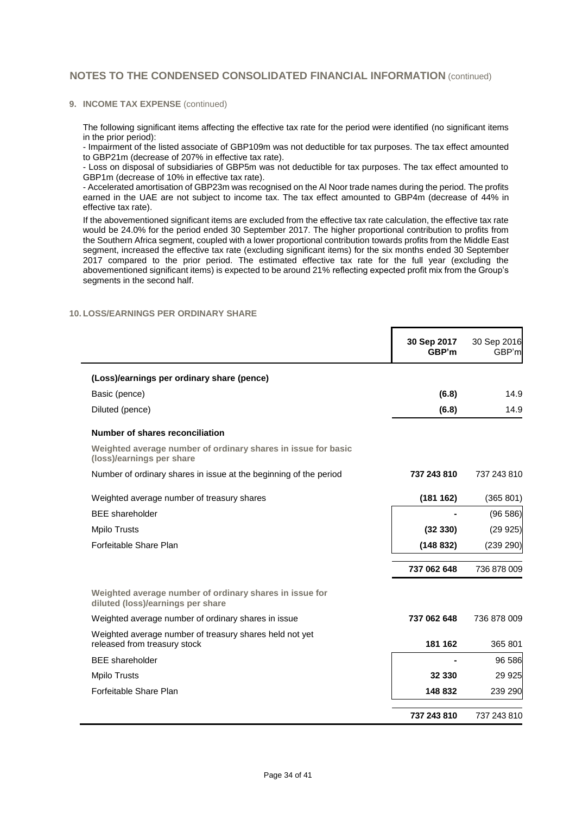#### **9. INCOME TAX EXPENSE** (continued)

The following significant items affecting the effective tax rate for the period were identified (no significant items in the prior period):

- Impairment of the listed associate of GBP109m was not deductible for tax purposes. The tax effect amounted to GBP21m (decrease of 207% in effective tax rate).

- Loss on disposal of subsidiaries of GBP5m was not deductible for tax purposes. The tax effect amounted to GBP1m (decrease of 10% in effective tax rate).

- Accelerated amortisation of GBP23m was recognised on the Al Noor trade names during the period. The profits earned in the UAE are not subject to income tax. The tax effect amounted to GBP4m (decrease of 44% in effective tax rate).

If the abovementioned significant items are excluded from the effective tax rate calculation, the effective tax rate would be 24.0% for the period ended 30 September 2017. The higher proportional contribution to profits from the Southern Africa segment, coupled with a lower proportional contribution towards profits from the Middle East segment, increased the effective tax rate (excluding significant items) for the six months ended 30 September 2017 compared to the prior period. The estimated effective tax rate for the full year (excluding the abovementioned significant items) is expected to be around 21% reflecting expected profit mix from the Group's segments in the second half.

#### **10. LOSS/EARNINGS PER ORDINARY SHARE**

|                                                                                              | 30 Sep 2017<br>GBP'm | 30 Sep 2016<br>GBP'm |
|----------------------------------------------------------------------------------------------|----------------------|----------------------|
| (Loss)/earnings per ordinary share (pence)                                                   |                      |                      |
| Basic (pence)                                                                                | (6.8)                | 14.9                 |
| Diluted (pence)                                                                              | (6.8)                | 14.9                 |
| Number of shares reconciliation                                                              |                      |                      |
| Weighted average number of ordinary shares in issue for basic<br>(loss)/earnings per share   |                      |                      |
| Number of ordinary shares in issue at the beginning of the period                            | 737 243 810          | 737 243 810          |
| Weighted average number of treasury shares                                                   | (181 162)            | (365 801)            |
| <b>BEE</b> shareholder                                                                       |                      | (96 586)             |
| <b>Mpilo Trusts</b>                                                                          | (32330)              | (29925)              |
| Forfeitable Share Plan                                                                       | (148832)             | (239 290)            |
|                                                                                              | 737 062 648          | 736 878 009          |
| Weighted average number of ordinary shares in issue for<br>diluted (loss)/earnings per share |                      |                      |
| Weighted average number of ordinary shares in issue                                          | 737 062 648          | 736 878 009          |
| Weighted average number of treasury shares held not yet<br>released from treasury stock      | 181 162              | 365 801              |
| <b>BEE</b> shareholder                                                                       |                      | 96 586               |
| <b>Mpilo Trusts</b>                                                                          | 32 330               | 29 9 25              |
| Forfeitable Share Plan                                                                       | 148832               | 239 290              |
|                                                                                              | 737 243 810          | 737 243 810          |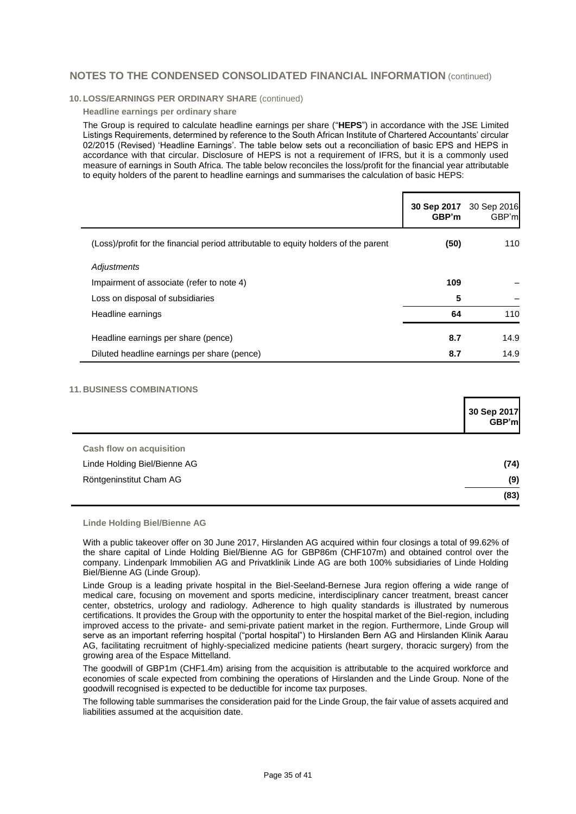#### **10. LOSS/EARNINGS PER ORDINARY SHARE** (continued)

#### **Headline earnings per ordinary share**

The Group is required to calculate headline earnings per share ("**HEPS**") in accordance with the JSE Limited Listings Requirements, determined by reference to the South African Institute of Chartered Accountants' circular 02/2015 (Revised) 'Headline Earnings'. The table below sets out a reconciliation of basic EPS and HEPS in accordance with that circular. Disclosure of HEPS is not a requirement of IFRS, but it is a commonly used measure of earnings in South Africa. The table below reconciles the loss/profit for the financial year attributable to equity holders of the parent to headline earnings and summarises the calculation of basic HEPS:

|                                                                                     | 30 Sep 2017<br>GBP'm | 30 Sep 2016<br>GBP'ml |
|-------------------------------------------------------------------------------------|----------------------|-----------------------|
| (Loss)/profit for the financial period attributable to equity holders of the parent | (50)                 | 110                   |
| Adjustments                                                                         |                      |                       |
| Impairment of associate (refer to note 4)                                           | 109                  |                       |
| Loss on disposal of subsidiaries                                                    | 5                    |                       |
| Headline earnings                                                                   | 64                   | 110                   |
| Headline earnings per share (pence)                                                 | 8.7                  | 14.9                  |
| Diluted headline earnings per share (pence)                                         | 8.7                  | 14.9                  |

#### **11. BUSINESS COMBINATIONS**

|                                 | 30 Sep 2017<br>GBP'm |
|---------------------------------|----------------------|
| <b>Cash flow on acquisition</b> |                      |
| Linde Holding Biel/Bienne AG    | (74)                 |
| Röntgeninstitut Cham AG         | (9)                  |
|                                 | (83)                 |

**Linde Holding Biel/Bienne AG**

With a public takeover offer on 30 June 2017, Hirslanden AG acquired within four closings a total of 99.62% of the share capital of Linde Holding Biel/Bienne AG for GBP86m (CHF107m) and obtained control over the company. Lindenpark Immobilien AG and Privatklinik Linde AG are both 100% subsidiaries of Linde Holding Biel/Bienne AG (Linde Group).

Linde Group is a leading private hospital in the Biel-Seeland-Bernese Jura region offering a wide range of medical care, focusing on movement and sports medicine, interdisciplinary cancer treatment, breast cancer center, obstetrics, urology and radiology. Adherence to high quality standards is illustrated by numerous certifications. It provides the Group with the opportunity to enter the hospital market of the Biel-region, including improved access to the private- and semi-private patient market in the region. Furthermore, Linde Group will serve as an important referring hospital ("portal hospital") to Hirslanden Bern AG and Hirslanden Klinik Aarau AG, facilitating recruitment of highly-specialized medicine patients (heart surgery, thoracic surgery) from the growing area of the Espace Mittelland.

The goodwill of GBP1m (CHF1.4m) arising from the acquisition is attributable to the acquired workforce and economies of scale expected from combining the operations of Hirslanden and the Linde Group. None of the goodwill recognised is expected to be deductible for income tax purposes.

The following table summarises the consideration paid for the Linde Group, the fair value of assets acquired and liabilities assumed at the acquisition date.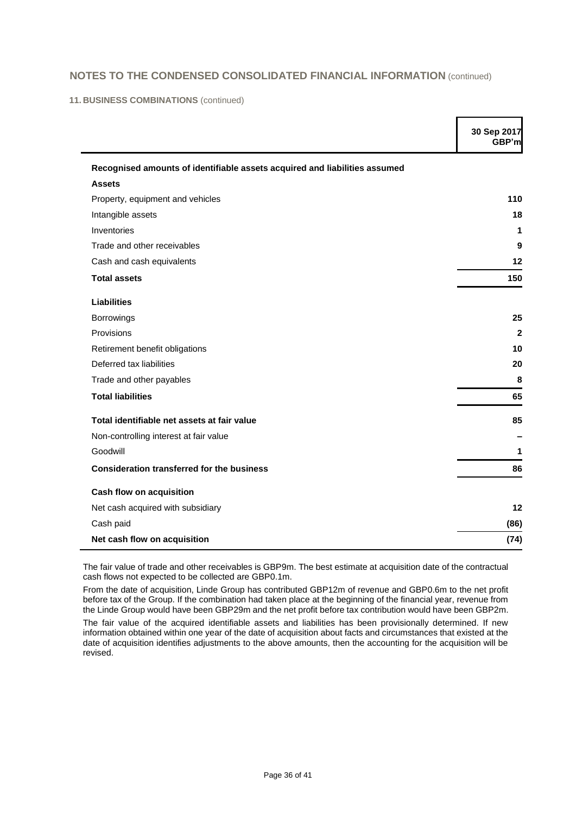**11. BUSINESS COMBINATIONS** (continued)

|                                                                            | 30 Sep 2017<br>GBP'm |
|----------------------------------------------------------------------------|----------------------|
| Recognised amounts of identifiable assets acquired and liabilities assumed |                      |
| <b>Assets</b>                                                              |                      |
| Property, equipment and vehicles                                           | 110                  |
| Intangible assets                                                          | 18                   |
| Inventories                                                                | 1                    |
| Trade and other receivables                                                | 9                    |
| Cash and cash equivalents                                                  | 12                   |
| <b>Total assets</b>                                                        | 150                  |
| <b>Liabilities</b>                                                         |                      |
| Borrowings                                                                 | 25                   |
| Provisions                                                                 | $\mathbf{2}$         |
| Retirement benefit obligations                                             | 10                   |
| Deferred tax liabilities                                                   | 20                   |
| Trade and other payables                                                   | 8                    |
| <b>Total liabilities</b>                                                   | 65                   |
| Total identifiable net assets at fair value                                | 85                   |
| Non-controlling interest at fair value                                     |                      |
| Goodwill                                                                   | 1                    |
| <b>Consideration transferred for the business</b>                          | 86                   |
| Cash flow on acquisition                                                   |                      |
| Net cash acquired with subsidiary                                          | 12                   |
| Cash paid                                                                  | (86)                 |
| Net cash flow on acquisition                                               | (74)                 |

The fair value of trade and other receivables is GBP9m. The best estimate at acquisition date of the contractual cash flows not expected to be collected are GBP0.1m.

From the date of acquisition, Linde Group has contributed GBP12m of revenue and GBP0.6m to the net profit before tax of the Group. If the combination had taken place at the beginning of the financial year, revenue from the Linde Group would have been GBP29m and the net profit before tax contribution would have been GBP2m.

The fair value of the acquired identifiable assets and liabilities has been provisionally determined. If new information obtained within one year of the date of acquisition about facts and circumstances that existed at the date of acquisition identifies adjustments to the above amounts, then the accounting for the acquisition will be revised.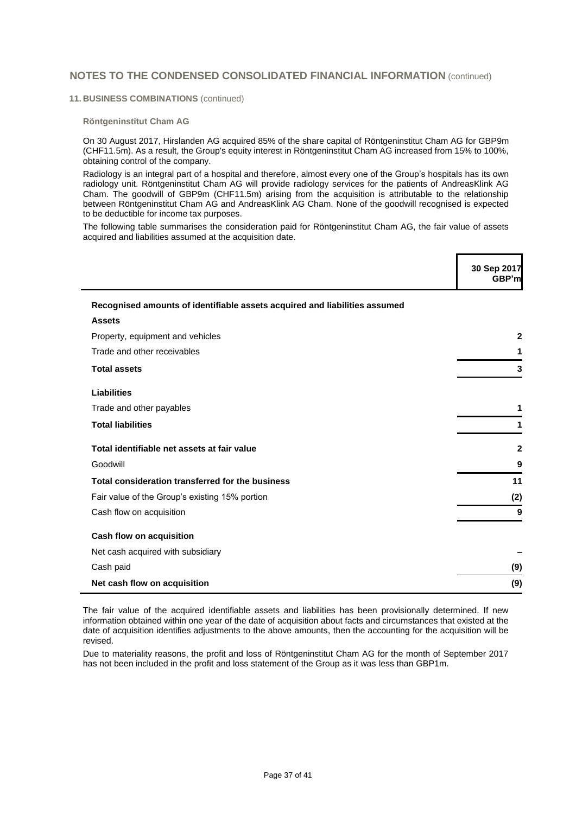**11. BUSINESS COMBINATIONS** (continued)

**Röntgeninstitut Cham AG**

On 30 August 2017, Hirslanden AG acquired 85% of the share capital of Röntgeninstitut Cham AG for GBP9m (CHF11.5m). As a result, the Group's equity interest in Röntgeninstitut Cham AG increased from 15% to 100%, obtaining control of the company.

Radiology is an integral part of a hospital and therefore, almost every one of the Group's hospitals has its own radiology unit. Röntgeninstitut Cham AG will provide radiology services for the patients of AndreasKlink AG Cham. The goodwill of GBP9m (CHF11.5m) arising from the acquisition is attributable to the relationship between Röntgeninstitut Cham AG and AndreasKlink AG Cham. None of the goodwill recognised is expected to be deductible for income tax purposes.

The following table summarises the consideration paid for Röntgeninstitut Cham AG, the fair value of assets acquired and liabilities assumed at the acquisition date.

|                                                                            | 30 Sep 2017<br>GBP'm |
|----------------------------------------------------------------------------|----------------------|
| Recognised amounts of identifiable assets acquired and liabilities assumed |                      |
| <b>Assets</b>                                                              |                      |
| Property, equipment and vehicles                                           | $\mathbf{2}$         |
| Trade and other receivables                                                |                      |
| <b>Total assets</b>                                                        | 3                    |
| <b>Liabilities</b>                                                         |                      |
| Trade and other payables                                                   | 1                    |
| <b>Total liabilities</b>                                                   | 1                    |
| Total identifiable net assets at fair value                                | 2                    |
| Goodwill                                                                   | 9                    |
| Total consideration transferred for the business                           | 11                   |
| Fair value of the Group's existing 15% portion                             | (2)                  |
| Cash flow on acquisition                                                   | 9                    |
| Cash flow on acquisition                                                   |                      |
| Net cash acquired with subsidiary                                          |                      |
| Cash paid                                                                  | (9)                  |
| Net cash flow on acquisition                                               | (9)                  |

The fair value of the acquired identifiable assets and liabilities has been provisionally determined. If new information obtained within one year of the date of acquisition about facts and circumstances that existed at the date of acquisition identifies adjustments to the above amounts, then the accounting for the acquisition will be revised.

Due to materiality reasons, the profit and loss of Röntgeninstitut Cham AG for the month of September 2017 has not been included in the profit and loss statement of the Group as it was less than GBP1m.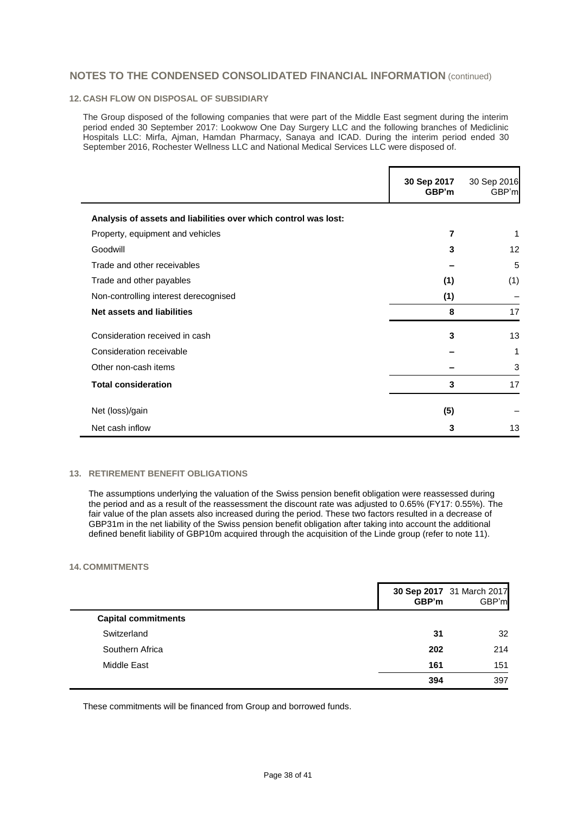#### **12. CASH FLOW ON DISPOSAL OF SUBSIDIARY**

The Group disposed of the following companies that were part of the Middle East segment during the interim period ended 30 September 2017: Lookwow One Day Surgery LLC and the following branches of Mediclinic Hospitals LLC: Mirfa, Ajman, Hamdan Pharmacy, Sanaya and ICAD. During the interim period ended 30 September 2016, Rochester Wellness LLC and National Medical Services LLC were disposed of.

|                                                                 | 30 Sep 2017<br>GBP'm | 30 Sep 2016<br>GBP'm |
|-----------------------------------------------------------------|----------------------|----------------------|
| Analysis of assets and liabilities over which control was lost: |                      |                      |
| Property, equipment and vehicles                                | 7                    | 1                    |
| Goodwill                                                        | 3                    | 12                   |
| Trade and other receivables                                     |                      | 5                    |
| Trade and other payables                                        | (1)                  | (1)                  |
| Non-controlling interest derecognised                           | (1)                  |                      |
| <b>Net assets and liabilities</b>                               | 8                    | 17                   |
| Consideration received in cash                                  | 3                    | 13                   |
| Consideration receivable                                        |                      | 1                    |
| Other non-cash items                                            |                      | 3                    |
| <b>Total consideration</b>                                      | 3                    | 17                   |
| Net (loss)/gain                                                 | (5)                  |                      |
| Net cash inflow                                                 | 3                    | 13                   |

#### **13. RETIREMENT BENEFIT OBLIGATIONS**

The assumptions underlying the valuation of the Swiss pension benefit obligation were reassessed during the period and as a result of the reassessment the discount rate was adjusted to 0.65% (FY17: 0.55%). The fair value of the plan assets also increased during the period. These two factors resulted in a decrease of GBP31m in the net liability of the Swiss pension benefit obligation after taking into account the additional defined benefit liability of GBP10m acquired through the acquisition of the Linde group (refer to note 11).

#### **14. COMMITMENTS**

|                            | GBP'm | 30 Sep 2017 31 March 2017<br>GBP'm |
|----------------------------|-------|------------------------------------|
| <b>Capital commitments</b> |       |                                    |
| Switzerland                | 31    | 32                                 |
| Southern Africa            | 202   | 214                                |
| Middle East                | 161   | 151                                |
|                            | 394   | 397                                |

These commitments will be financed from Group and borrowed funds.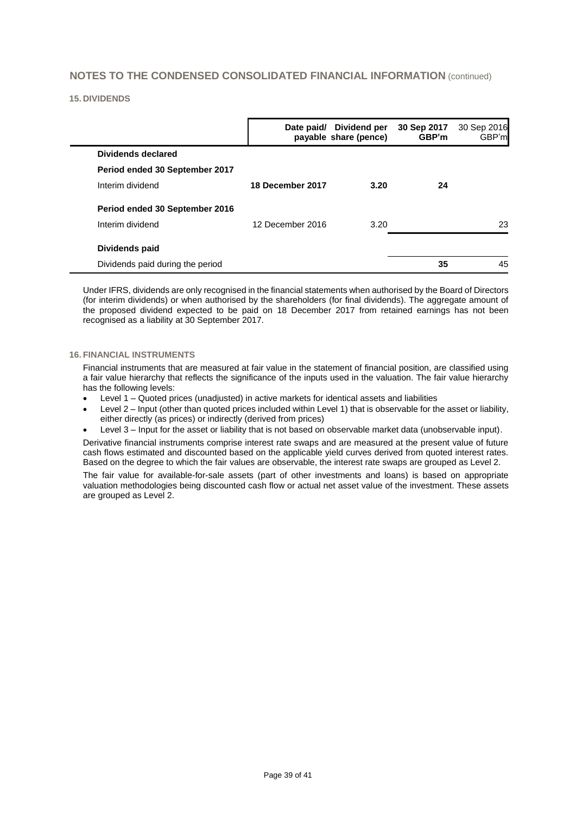**15. DIVIDENDS**

|                                  | Date paid/       | Dividend per<br>payable share (pence) | 30 Sep 2017<br>GBP'm | 30 Sep 2016<br>GBP'm |
|----------------------------------|------------------|---------------------------------------|----------------------|----------------------|
| Dividends declared               |                  |                                       |                      |                      |
| Period ended 30 September 2017   |                  |                                       |                      |                      |
| Interim dividend                 | 18 December 2017 | 3.20                                  | 24                   |                      |
| Period ended 30 September 2016   |                  |                                       |                      |                      |
| Interim dividend                 | 12 December 2016 | 3.20                                  |                      | 23                   |
| Dividends paid                   |                  |                                       |                      |                      |
| Dividends paid during the period |                  |                                       | 35                   | 45                   |

Under IFRS, dividends are only recognised in the financial statements when authorised by the Board of Directors (for interim dividends) or when authorised by the shareholders (for final dividends). The aggregate amount of the proposed dividend expected to be paid on 18 December 2017 from retained earnings has not been recognised as a liability at 30 September 2017.

#### **16. FINANCIAL INSTRUMENTS**

Financial instruments that are measured at fair value in the statement of financial position, are classified using a fair value hierarchy that reflects the significance of the inputs used in the valuation. The fair value hierarchy has the following levels:

- Level 1 Quoted prices (unadjusted) in active markets for identical assets and liabilities
- Level 2 Input (other than quoted prices included within Level 1) that is observable for the asset or liability, either directly (as prices) or indirectly (derived from prices)
- Level 3 Input for the asset or liability that is not based on observable market data (unobservable input).

Derivative financial instruments comprise interest rate swaps and are measured at the present value of future cash flows estimated and discounted based on the applicable yield curves derived from quoted interest rates. Based on the degree to which the fair values are observable, the interest rate swaps are grouped as Level 2.

The fair value for available-for-sale assets (part of other investments and loans) is based on appropriate valuation methodologies being discounted cash flow or actual net asset value of the investment. These assets are grouped as Level 2.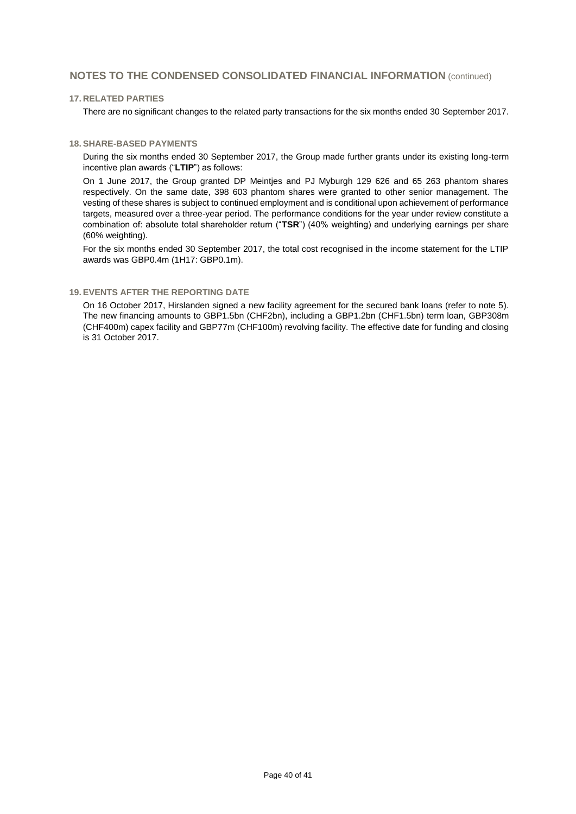#### **17. RELATED PARTIES**

There are no significant changes to the related party transactions for the six months ended 30 September 2017.

#### **18. SHARE-BASED PAYMENTS**

During the six months ended 30 September 2017, the Group made further grants under its existing long-term incentive plan awards ("**LTIP**") as follows:

On 1 June 2017, the Group granted DP Meintjes and PJ Myburgh 129 626 and 65 263 phantom shares respectively. On the same date, 398 603 phantom shares were granted to other senior management. The vesting of these shares is subject to continued employment and is conditional upon achievement of performance targets, measured over a three-year period. The performance conditions for the year under review constitute a combination of: absolute total shareholder return ("**TSR**") (40% weighting) and underlying earnings per share (60% weighting).

For the six months ended 30 September 2017, the total cost recognised in the income statement for the LTIP awards was GBP0.4m (1H17: GBP0.1m).

#### **19. EVENTS AFTER THE REPORTING DATE**

On 16 October 2017, Hirslanden signed a new facility agreement for the secured bank loans (refer to note 5). The new financing amounts to GBP1.5bn (CHF2bn), including a GBP1.2bn (CHF1.5bn) term loan, GBP308m (CHF400m) capex facility and GBP77m (CHF100m) revolving facility. The effective date for funding and closing is 31 October 2017.